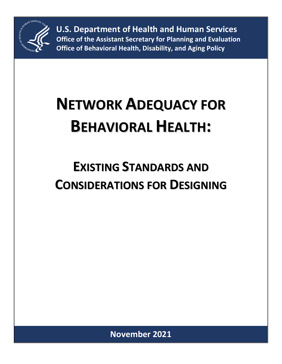

**U.S. Department of Health and Human Services Office of the Assistant Secretary for Planning and Evaluation Office of Behavioral Health, Disability, and Aging Policy**

# **NETWORK ADEQUACY FOR BEHAVIORAL HEALTH:**

## **EXISTING STANDARDS AND CONSIDERATIONS FOR DESIGNING**

**November 2021**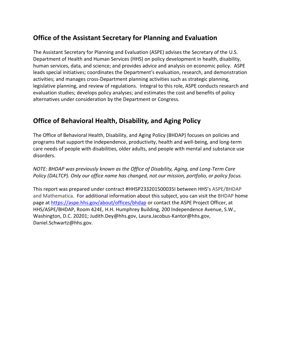## **Office of the Assistant Secretary for Planning and Evaluation**

The Assistant Secretary for Planning and Evaluation (ASPE) advises the Secretary of the U.S. Department of Health and Human Services (HHS) on policy development in health, disability, human services, data, and science; and provides advice and analysis on economic policy. ASPE leads special initiatives; coordinates the Department's evaluation, research, and demonstration activities; and manages cross-Department planning activities such as strategic planning, legislative planning, and review of regulations. Integral to this role, ASPE conducts research and evaluation studies; develops policy analyses; and estimates the cost and benefits of policy alternatives under consideration by the Department or Congress.

## **Office of Behavioral Health, Disability, and Aging Policy**

The Office of Behavioral Health, Disability, and Aging Policy (BHDAP) focuses on policies and programs that support the independence, productivity, health and well-being, and long-term care needs of people with disabilities, older adults, and people with mental and substance use disorders.

*NOTE: BHDAP was previously known as the Office of Disability, Aging, and Long-Term Care Policy (DALTCP). Only our office name has changed, not our mission, portfolio, or policy focus.*

This report was prepared under contract #HHSP233201500035I between HHS's ASPE/BHDAP and Mathematica. For additional information about this subject, you can visit the BHDAP home page at<https://aspe.hhs.gov/about/offices/bhdap> or contact the ASPE Project Officer, at HHS/ASPE/BHDAP, Room 424E, H.H. Humphrey Building, 200 Independence Avenue, S.W., Washington, D.C. 20201; Judith.Dey@hhs.gov, Laura.Jacobus-Kantor@hhs.gov, Daniel.Schwartz@hhs.gov.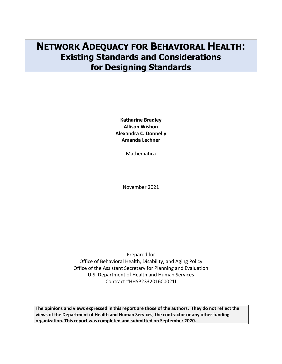## **NETWORK ADEQUACY FOR BEHAVIORAL HEALTH: Existing Standards and Considerations for Designing Standards**

**Katharine Bradley Allison Wishon Alexandra C. Donnelly Amanda Lechner**

Mathematica

November 2021

Prepared for Office of Behavioral Health, Disability, and Aging Policy Office of the Assistant Secretary for Planning and Evaluation U.S. Department of Health and Human Services Contract #HHSP233201600021I

**The opinions and views expressed in this report are those of the authors. They do not reflect the views of the Department of Health and Human Services, the contractor or any other funding organization. This report was completed and submitted on September 2020.**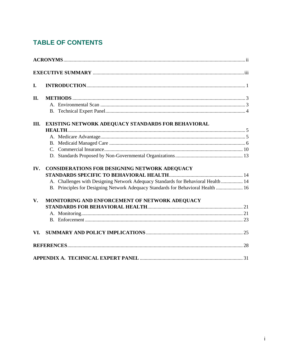## **TABLE OF CONTENTS**

| II.           |                                                                                   |  |
|---------------|-----------------------------------------------------------------------------------|--|
|               |                                                                                   |  |
|               |                                                                                   |  |
| III.          | EXISTING NETWORK ADEQUACY STANDARDS FOR BEHAVIORAL                                |  |
|               |                                                                                   |  |
|               |                                                                                   |  |
|               |                                                                                   |  |
|               |                                                                                   |  |
|               |                                                                                   |  |
| IV.           | <b>CONSIDERATIONS FOR DESIGNING NETWORK ADEQUACY</b>                              |  |
|               |                                                                                   |  |
|               | A. Challenges with Designing Network Adequacy Standards for Behavioral Health  14 |  |
|               | B. Principles for Designing Network Adequacy Standards for Behavioral Health  16  |  |
| $V_{\bullet}$ | MONITORING AND ENFORCEMENT OF NETWORK ADEQUACY                                    |  |
|               |                                                                                   |  |
|               |                                                                                   |  |
|               |                                                                                   |  |
| VI.           |                                                                                   |  |
|               |                                                                                   |  |
|               |                                                                                   |  |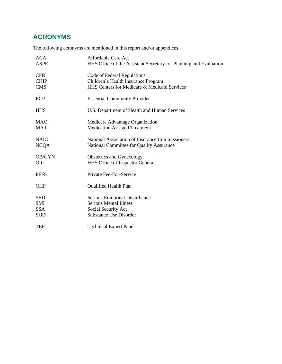## **ACRONYMS**

The following acronyms are mentioned in this report and/or appendices.

| <b>ACA</b>  | Affordable Care Act                                               |
|-------------|-------------------------------------------------------------------|
| <b>ASPE</b> | HHS Office of the Assistant Secretary for Planning and Evaluation |
| <b>CFR</b>  | Code of Federal Regulations                                       |
| <b>CHIP</b> | Children's Health Insurance Program                               |
| <b>CMS</b>  | HHS Centers for Medicare & Medicaid Services                      |
| ECP         | <b>Essential Community Provider</b>                               |
| <b>HHS</b>  | U.S. Department of Health and Human Services                      |
| <b>MAO</b>  | Medicare Advantage Organization                                   |
| <b>MAT</b>  | <b>Medication Assisted Treatment</b>                              |
| <b>NAIC</b> | National Association of Insurance Commissioners                   |
| <b>NCQA</b> | National Committee for Quality Assurance                          |
| OB/GYN      | Obstetrics and Gynecology                                         |
| OIG         | HHS Office of Inspector General                                   |
| <b>PFFS</b> | Private Fee-For-Service                                           |
| QHP         | <b>Qualified Health Plan</b>                                      |
| <b>SED</b>  | <b>Serious Emotional Disturbance</b>                              |
| SMI         | <b>Serious Mental Illness</b>                                     |
| <b>SSA</b>  | Social Security Act                                               |
| <b>SUD</b>  | <b>Substance Use Disorder</b>                                     |
| TEP         | <b>Technical Expert Panel</b>                                     |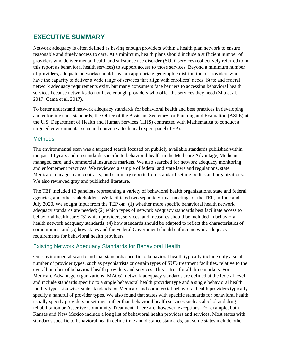## **EXECUTIVE SUMMARY**

Network adequacy is often defined as having enough providers within a health plan network to ensure reasonable and timely access to care. At a minimum, health plans should include a sufficient number of providers who deliver mental health and substance use disorder (SUD) services (collectively referred to in this report as behavioral health services) to support access to those services. Beyond a minimum number of providers, adequate networks should have an appropriate geographic distribution of providers who have the capacity to deliver a wide range of services that align with enrollees' needs. State and federal network adequacy requirements exist, but many consumers face barriers to accessing behavioral health services because networks do not have enough providers who offer the services they need (Zhu et al. 2017; Cama et al. 2017).

To better understand network adequacy standards for behavioral health and best practices in developing and enforcing such standards, the Office of the Assistant Secretary for Planning and Evaluation (ASPE) at the U.S. Department of Health and Human Services (HHS) contracted with Mathematica to conduct a targeted environmental scan and convene a technical expert panel (TEP).

## **Methods**

The environmental scan was a targeted search focused on publicly available standards published within the past 10 years and on standards specific to behavioral health in the Medicare Advantage, Medicaid managed care, and commercial insurance markets. We also searched for network adequacy monitoring and enforcement practices. We reviewed a sample of federal and state laws and regulations, state Medicaid managed care contracts, and summary reports from standard-setting bodies and organizations. We also reviewed gray and published literature.

The TEP included 13 panelists representing a variety of behavioral health organizations, state and federal agencies, and other stakeholders. We facilitated two separate virtual meetings of the TEP, in June and July 2020. We sought input from the TEP on: (1) whether more specific behavioral health network adequacy standards are needed; (2) which types of network adequacy standards best facilitate access to behavioral health care; (3) which providers, services, and measures should be included in behavioral health network adequacy standards; (4) how standards should be adapted to reflect the characteristics of communities; and (5) how states and the Federal Government should enforce network adequacy requirements for behavioral health providers.

## Existing Network Adequacy Standards for Behavioral Health

Our environmental scan found that standards specific to behavioral health typically include only a small number of provider types, such as psychiatrists or certain types of SUD treatment facilities, relative to the overall number of behavioral health providers and services. This is true for all three markets. For Medicare Advantage organizations (MAOs), network adequacy standards are defined at the federal level and include standards specific to a single behavioral health provider type and a single behavioral health facility type. Likewise, state standards for Medicaid and commercial behavioral health providers typically specify a handful of provider types. We also found that states with specific standards for behavioral health usually specify providers or settings, rather than behavioral health services such as alcohol and drug rehabilitation or Assertive Community Treatment. There are, however, exceptions. For example, both Kansas and New Mexico include a long list of behavioral health providers and services. Most states with standards specific to behavioral health define time and distance standards, but some states include other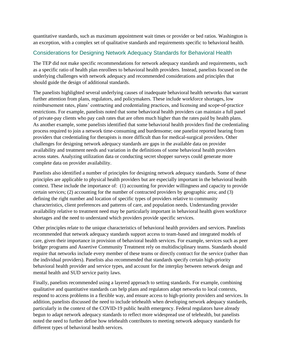quantitative standards, such as maximum appointment wait times or provider or bed ratios. Washington is an exception, with a complex set of qualitative standards and requirements specific to behavioral health.

## Considerations for Designing Network Adequacy Standards for Behavioral Health

The TEP did not make specific recommendations for network adequacy standards and requirements, such as a specific ratio of health plan enrollees to behavioral health providers. Instead, panelists focused on the underlying challenges with network adequacy and recommended considerations and principles that should guide the design of additional standards.

The panelists highlighted several underlying causes of inadequate behavioral health networks that warrant further attention from plans, regulators, and policymakers. These include workforce shortages, low reimbursement rates, plans' contracting and credentialing practices, and licensing and scope-of-practice restrictions. For example, panelists noted that some behavioral health providers can maintain a full panel of private-pay clients who pay cash rates that are often much higher than the rates paid by health plans. As another example, some panelists identified that some behavioral health providers find the credentialing process required to join a network time-consuming and burdensome; one panelist reported hearing from providers that credentialing for therapists is more difficult than for medical-surgical providers. Other challenges for designing network adequacy standards are gaps in the available data on provider availability and treatment needs and variation in the definitions of some behavioral health providers across states. Analyzing utilization data or conducting secret shopper surveys could generate more complete data on provider availability.

Panelists also identified a number of principles for designing network adequacy standards. Some of these principles are applicable to physical health providers but are especially important in the behavioral health context. These include the importance of: (1) accounting for provider willingness and capacity to provide certain services; (2) accounting for the number of contracted providers by geographic area; and (3) defining the right number and location of specific types of providers relative to community characteristics, client preferences and patterns of care, and population needs. Understanding provider availability relative to treatment need may be particularly important in behavioral health given workforce shortages and the need to understand which providers provide specific services.

Other principles relate to the unique characteristics of behavioral health providers and services. Panelists recommended that network adequacy standards support access to team-based and integrated models of care, given their importance in provision of behavioral health services. For example, services such as peer bridger programs and Assertive Community Treatment rely on multidisciplinary teams. Standards should require that networks include every member of these teams or directly contract for the service (rather than the individual providers). Panelists also recommended that standards specify certain high-priority behavioral health provider and service types, and account for the interplay between network design and mental health and SUD service parity laws.

Finally, panelists recommended using a layered approach to setting standards. For example, combining qualitative and quantitative standards can help plans and regulators adapt networks to local contexts, respond to access problems in a flexible way, and ensure access to high-priority providers and services. In addition, panelists discussed the need to include telehealth when developing network adequacy standards, particularly in the context of the COVID-19 public health emergency. Federal regulators have already begun to adapt network adequacy standards to reflect more widespread use of telehealth, but panelists noted the need to further define how telehealth contributes to meeting network adequacy standards for different types of behavioral health services.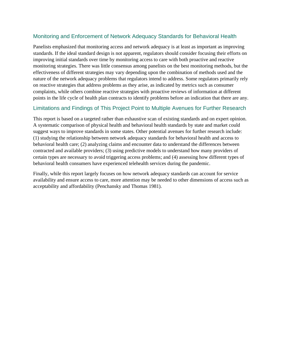## Monitoring and Enforcement of Network Adequacy Standards for Behavioral Health

Panelists emphasized that monitoring access and network adequacy is at least as important as improving standards. If the ideal standard design is not apparent, regulators should consider focusing their efforts on improving initial standards over time by monitoring access to care with both proactive and reactive monitoring strategies. There was little consensus among panelists on the best monitoring methods, but the effectiveness of different strategies may vary depending upon the combination of methods used and the nature of the network adequacy problems that regulators intend to address. Some regulators primarily rely on reactive strategies that address problems as they arise, as indicated by metrics such as consumer complaints, while others combine reactive strategies with proactive reviews of information at different points in the life cycle of health plan contracts to identify problems before an indication that there are any.

## Limitations and Findings of This Project Point to Multiple Avenues for Further Research

This report is based on a targeted rather than exhaustive scan of existing standards and on expert opinion. A systematic comparison of physical health and behavioral health standards by state and market could suggest ways to improve standards in some states. Other potential avenues for further research include: (1) studying the relationship between network adequacy standards for behavioral health and access to behavioral health care; (2) analyzing claims and encounter data to understand the differences between contracted and available providers; (3) using predictive models to understand how many providers of certain types are necessary to avoid triggering access problems; and (4) assessing how different types of behavioral health consumers have experienced telehealth services during the pandemic.

Finally, while this report largely focuses on how network adequacy standards can account for service availability and ensure access to care, more attention may be needed to other dimensions of access such as acceptability and affordability (Penchansky and Thomas 1981).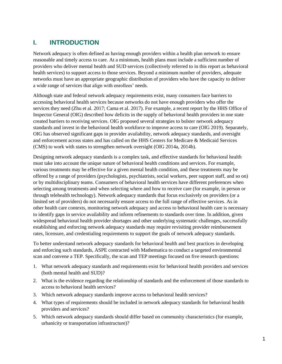## **I. INTRODUCTION**

Network adequacy is often defined as having enough providers within a health plan network to ensure reasonable and timely access to care. At a minimum, health plans must include a sufficient number of providers who deliver mental health and SUD services (collectively referred to in this report as behavioral health services) to support access to those services. Beyond a minimum number of providers, adequate networks must have an appropriate geographic distribution of providers who have the capacity to deliver a wide range of services that align with enrollees' needs.

Although state and federal network adequacy requirements exist, many consumers face barriers to accessing behavioral health services because networks do not have enough providers who offer the services they need (Zhu et al. 2017; Cama et al. 2017). For example, a recent report by the HHS Office of Inspector General (OIG) described how deficits in the supply of behavioral health providers in one state created barriers to receiving services. OIG proposed several strategies to bolster network adequacy standards and invest in the behavioral health workforce to improve access to care (OIG 2019). Separately, OIG has observed significant gaps in provider availability, network adequacy standards, and oversight and enforcement across states and has called on the HHS Centers for Medicare & Medicaid Services (CMS) to work with states to strengthen network oversight (OIG 2014a, 2014b).

Designing network adequacy standards is a complex task, and effective standards for behavioral health must take into account the unique nature of behavioral health conditions and services. For example, various treatments may be effective for a given mental health condition, and these treatments may be offered by a range of providers (psychologists, psychiatrists, social workers, peer support staff, and so on) or by multidisciplinary teams. Consumers of behavioral health services have different preferences when selecting among treatments and when selecting where and how to receive care (for example, in person or through telehealth technology). Network adequacy standards that focus exclusively on providers (or a limited set of providers) do not necessarily ensure access to the full range of effective services. As in other health care contexts, monitoring network adequacy and access to behavioral health care is necessary to identify gaps in service availability and inform refinements to standards over time. In addition, given widespread behavioral health provider shortages and other underlying systematic challenges, successfully establishing and enforcing network adequacy standards may require revisiting provider reimbursement rates, licensure, and credentialing requirements to support the goals of network adequacy standards.

To better understand network adequacy standards for behavioral health and best practices in developing and enforcing such standards, ASPE contracted with Mathematica to conduct a targeted environmental scan and convene a TEP. Specifically, the scan and TEP meetings focused on five research questions:

- 1. What network adequacy standards and requirements exist for behavioral health providers and services (both mental health and SUD)?
- 2. What is the evidence regarding the relationship of standards and the enforcement of those standards to access to behavioral health services?
- 3. Which network adequacy standards improve access to behavioral health services?
- 4. What types of requirements should be included in network adequacy standards for behavioral health providers and services?
- 5. Which network adequacy standards should differ based on community characteristics (for example, urbanicity or transportation infrastructure)?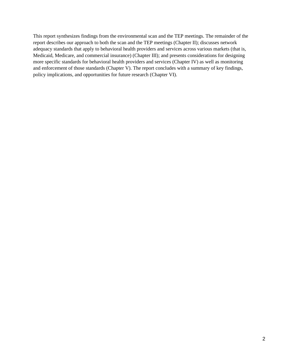This report synthesizes findings from the environmental scan and the TEP meetings. The remainder of the report describes our approach to both the scan and the TEP meetings (Chapter II); discusses network adequacy standards that apply to behavioral health providers and services across various markets (that is, Medicaid, Medicare, and commercial insurance) (Chapter III); and presents considerations for designing more specific standards for behavioral health providers and services (Chapter IV) as well as monitoring and enforcement of those standards (Chapter V). The report concludes with a summary of key findings, policy implications, and opportunities for future research (Chapter VI).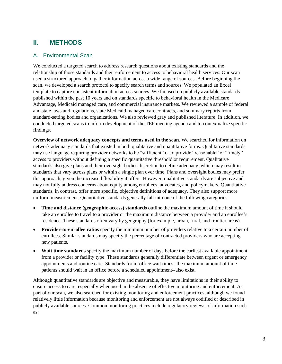## **II. METHODS**

## A. Environmental Scan

We conducted a targeted search to address research questions about existing standards and the relationship of those standards and their enforcement to access to behavioral health services. Our scan used a structured approach to gather information across a wide range of sources. Before beginning the scan, we developed a search protocol to specify search terms and sources. We populated an Excel template to capture consistent information across sources. We focused on publicly available standards published within the past 10 years and on standards specific to behavioral health in the Medicare Advantage, Medicaid managed care, and commercial insurance markets. We reviewed a sample of federal and state laws and regulations, state Medicaid managed care contracts, and summary reports from standard-setting bodies and organizations. We also reviewed gray and published literature. In addition, we conducted targeted scans to inform development of the TEP meeting agenda and to contextualize specific findings.

**Overview of network adequacy concepts and terms used in the scan.** We searched for information on network adequacy standards that existed in both qualitative and quantitative forms. Qualitative standards may use language requiring provider networks to be "sufficient" or to provide "reasonable" or "timely" access to providers without defining a specific quantitative threshold or requirement. Qualitative standards also give plans and their oversight bodies discretion to define adequacy, which may result in standards that vary across plans or within a single plan over time. Plans and oversight bodies may prefer this approach, given the increased flexibility it offers. However, qualitative standards are subjective and may not fully address concerns about equity among enrollees, advocates, and policymakers. Quantitative standards, in contrast, offer more specific, objective definitions of adequacy. They also support more uniform measurement. Quantitative standards generally fall into one of the following categories:

- **Time and distance (geographic access) standards** outline the maximum amount of time it should take an enrollee to travel to a provider or the maximum distance between a provider and an enrollee's residence. These standards often vary by geography (for example, urban, rural, and frontier areas).
- **Provider-to-enrollee ratios** specify the minimum number of providers relative to a certain number of enrollees. Similar standards may specify the percentage of contracted providers who are accepting new patients.
- **Wait time standards** specify the maximum number of days before the earliest available appointment from a provider or facility type. These standards generally differentiate between urgent or emergency appointments and routine care. Standards for in-office wait times--the maximum amount of time patients should wait in an office before a scheduled appointment--also exist.

Although quantitative standards are objective and measurable, they have limitations in their ability to ensure access to care, especially when used in the absence of effective monitoring and enforcement. As part of our scan, we also searched for existing monitoring and enforcement practices, although we found relatively little information because monitoring and enforcement are not always codified or described in publicly available sources. Common monitoring practices include regulatory reviews of information such as: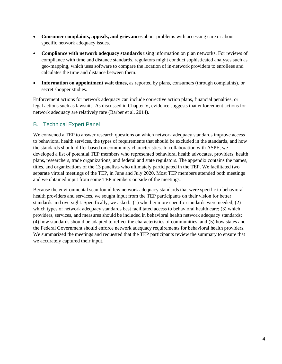- **Consumer complaints, appeals, and grievances** about problems with accessing care or about specific network adequacy issues.
- **Compliance with network adequacy standards** using information on plan networks. For reviews of compliance with time and distance standards, regulators might conduct sophisticated analyses such as geo-mapping, which uses software to compare the location of in-network providers to enrollees and calculates the time and distance between them.
- **Information on appointment wait times**, as reported by plans, consumers (through complaints), or secret shopper studies.

Enforcement actions for network adequacy can include corrective action plans, financial penalties, or legal actions such as lawsuits. As discussed in Chapter V, evidence suggests that enforcement actions for network adequacy are relatively rare (Barber et al. 2014).

## B. Technical Expert Panel

We convened a TEP to answer research questions on which network adequacy standards improve access to behavioral health services, the types of requirements that should be excluded in the standards, and how the standards should differ based on community characteristics. In collaboration with ASPE, we developed a list of potential TEP members who represented behavioral health advocates, providers, health plans, researchers, trade organizations, and federal and state regulators. The appendix contains the names, titles, and organizations of the 13 panelists who ultimately participated in the TEP. We facilitated two separate virtual meetings of the TEP, in June and July 2020. Most TEP members attended both meetings and we obtained input from some TEP members outside of the meetings.

Because the environmental scan found few network adequacy standards that were specific to behavioral health providers and services, we sought input from the TEP participants on their vision for better standards and oversight. Specifically, we asked: (1) whether more specific standards were needed; (2) which types of network adequacy standards best facilitated access to behavioral health care; (3) which providers, services, and measures should be included in behavioral health network adequacy standards; (4) how standards should be adapted to reflect the characteristics of communities; and (5) how states and the Federal Government should enforce network adequacy requirements for behavioral health providers. We summarized the meetings and requested that the TEP participants review the summary to ensure that we accurately captured their input.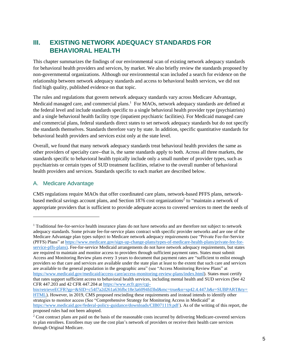## **III. EXISTING NETWORK ADEQUACY STANDARDS FOR BEHAVIORAL HEALTH**

This chapter summarizes the findings of our environmental scan of existing network adequacy standards for behavioral health providers and services, by market. We also briefly review the standards proposed by non-governmental organizations. Although our environmental scan included a search for evidence on the relationship between network adequacy standards and access to behavioral health services, we did not find high quality, published evidence on that topic.

The rules and regulations that govern network adequacy standards vary across Medicare Advantage, Medicaid managed care, and commercial plans.<sup>1</sup> For MAOs, network adequacy standards are defined at the federal level and include standards specific to a single behavioral health provider type (psychiatrists) and a single behavioral health facility type (inpatient psychiatric facilities). For Medicaid managed care and commercial plans, federal standards direct states to set network adequacy standards but do not specify the standards themselves. Standards therefore vary by state. In addition, specific quantitative standards for behavioral health providers and services exist only at the state level.

Overall, we found that many network adequacy standards treat behavioral health providers the same as other providers of specialty care--that is, the same standards apply to both. Across all three markets, the standards specific to behavioral health typically include only a small number of provider types, such as psychiatrists or certain types of SUD treatment facilities, relative to the overall number of behavioral health providers and services. Standards specific to each market are described below.

## A. Medicare Advantage

CMS regulations require MAOs that offer coordinated care plans, network-based PFFS plans, networkbased medical savings account plans, and Section 1876 cost organizations<sup>2</sup> to "maintain a network of appropriate providers that is sufficient to provide adequate access to covered services to meet the needs of

<sup>&</sup>lt;sup>1</sup> Traditional fee-for-service health insurance plans do not have networks and are therefore not subject to network adequacy standards. Some private fee-for-service plans contract with specific provider networks and are one of the Medicare Advantage plan types subject to Medicare network adequacy requirements (see "Private Fee-for-Service (PFFS) Plans" a[t https://www.medicare.gov/sign-up-change-plans/types-of-medicare-health-plans/private-fee-for](https://www.medicare.gov/sign-up-change-plans/types-of-medicare-health-plans/private-fee-for-service-pffs-plans)[service-pffs-plans\)](https://www.medicare.gov/sign-up-change-plans/types-of-medicare-health-plans/private-fee-for-service-pffs-plans). Fee-for-service Medicaid arrangements do not have network adequacy requirements, but states are required to maintain and monitor access to providers through sufficient payment rates. States must submit Access and Monitoring Review plans every 3 years to document that payment rates are "sufficient to enlist enough providers so that care and services are available under the state plan at least to the extent that such care and services are available to the general population in the geographic area" (see "Access Monitoring Review Plans" at [https://www.medicaid.gov/medicaid/access-care/access-monitoring-review-plans/index.html\)](https://www.medicaid.gov/medicaid/access-care/access-monitoring-review-plans/index.html). States must certify that rates support sufficient access to behavioral health services, including mental health and SUD services (See 42 CFR 447.203 and 42 CFR 447.204 at [https://www.ecfr.gov/cgi-](https://www.ecfr.gov/cgi-bin/retrieveECFR?gp=&SID=c54f7a2d261a636fbc18e3a6094fd3bd&mc=true&n=sp42.4.447.b&r=SUBPART&ty=HTML)

[bin/retrieveECFR?gp=&SID=c54f7a2d261a636fbc18e3a6094fd3bd&mc=true&n=sp42.4.447.b&r=SUBPART&ty=](https://www.ecfr.gov/cgi-bin/retrieveECFR?gp=&SID=c54f7a2d261a636fbc18e3a6094fd3bd&mc=true&n=sp42.4.447.b&r=SUBPART&ty=HTML) [HTML\)](https://www.ecfr.gov/cgi-bin/retrieveECFR?gp=&SID=c54f7a2d261a636fbc18e3a6094fd3bd&mc=true&n=sp42.4.447.b&r=SUBPART&ty=HTML). However, in 2019, CMS proposed rescinding these requirements and instead intends to identify other strategies to monitor access (See "Comprehensive Strategy for Monitoring Access in Medicaid" at <https://www.medicaid.gov/federal-policy-guidance/downloads/CIB071119.pdf> ). As of the writing of this report, the proposed rules had not been adopted.

 $2$  Cost contract plans are paid on the basis of the reasonable costs incurred by delivering Medicare-covered services to plan enrollees. Enrollees may use the cost plan's network of providers or receive their health care services through Original Medicare.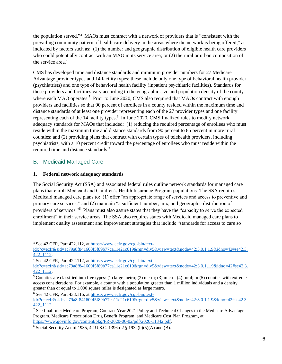the population served." <sup>3</sup> MAOs must contract with a network of providers that is "consistent with the prevailing community pattern of health care delivery in the areas where the network is being offered," as indicated by factors such as: (1) the number and geographic distribution of eligible health care providers who could potentially contract with an MAO in its service area; or (2) the rural or urban composition of the service area.<sup>4</sup>

CMS has developed time and distance standards and minimum provider numbers for 27 Medicare Advantage provider types and 14 facility types; these include only one type of behavioral health provider (psychiatrists) and one type of behavioral health facility (inpatient psychiatric facilities). Standards for these providers and facilities vary according to the geographic size and population density of the county where each MAO operates.<sup>5</sup> Prior to June 2020, CMS also required that MAOs contract with enough providers and facilities so that 90 percent of enrollees in a county resided within the maximum time and distance standards of at least one provider representing each of the 27 provider types and one facility representing each of the 14 facility types. 6 In June 2020, CMS finalized rules to modify network adequacy standards for MAOs that included: (1) reducing the required percentage of enrollees who must reside within the maximum time and distance standards from 90 percent to 85 percent in more rural counties; and (2) providing plans that contract with certain types of telehealth providers, including psychiatrists, with a 10 percent credit toward the percentage of enrollees who must reside within the required time and distance standards. 7

## B. Medicaid Managed Care

## **1. Federal network adequacy standards**

The Social Security Act (SSA) and associated federal rules outline network standards for managed care plans that enroll Medicaid and Children's Health Insurance Program populations. The SSA requires Medicaid managed care plans to: (1) offer "an appropriate range of services and access to preventive and primary care services;" and (2) maintain "a sufficient number, mix, and geographic distribution of providers of services."<sup>8</sup> Plans must also assure states that they have the "capacity to serve the expected enrollment" in their service areas. The SSA also requires states with Medicaid managed care plans to implement quality assessment and improvement strategies that include "standards for access to care so

<sup>6</sup> See 42 CFR, Part 438.116, at [https://www.ecfr.gov/cgi-bin/text-](https://www.ecfr.gov/cgi-bin/text-idx?c=ecfr&sid=ac79a8f841600f5f89b77ca11e21c619&rgn=div5&view=text&node=42:3.0.1.1.9&idno=42#se42.3.422_1112)

<sup>3</sup> See 42 CFR, Part 422.112, at [https://www.ecfr.gov/cgi-bin/text-](https://www.ecfr.gov/cgi-bin/text-idx?c=ecfr&sid=ac79a8f841600f5f89b77ca11e21c619&rgn=div5&view=text&node=42:3.0.1.1.9&idno=42#se42.3.422_1112)

[idx?c=ecfr&sid=ac79a8f841600f5f89b77ca11e21c619&rgn=div5&view=text&node=42:3.0.1.1.9&idno=42#se42.3.](https://www.ecfr.gov/cgi-bin/text-idx?c=ecfr&sid=ac79a8f841600f5f89b77ca11e21c619&rgn=div5&view=text&node=42:3.0.1.1.9&idno=42#se42.3.422_1112) [422\\_1112.](https://www.ecfr.gov/cgi-bin/text-idx?c=ecfr&sid=ac79a8f841600f5f89b77ca11e21c619&rgn=div5&view=text&node=42:3.0.1.1.9&idno=42#se42.3.422_1112)

<sup>4</sup> See 42 CFR, Part 422.112, at [https://www.ecfr.gov/cgi-bin/text-](https://www.ecfr.gov/cgi-bin/text-idx?c=ecfr&sid=ac79a8f841600f5f89b77ca11e21c619&rgn=div5&view=text&node=42:3.0.1.1.9&idno=42#se42.3.422_1112)

[idx?c=ecfr&sid=ac79a8f841600f5f89b77ca11e21c619&rgn=div5&view=text&node=42:3.0.1.1.9&idno=42#se42.3.](https://www.ecfr.gov/cgi-bin/text-idx?c=ecfr&sid=ac79a8f841600f5f89b77ca11e21c619&rgn=div5&view=text&node=42:3.0.1.1.9&idno=42#se42.3.422_1112) [422\\_1112.](https://www.ecfr.gov/cgi-bin/text-idx?c=ecfr&sid=ac79a8f841600f5f89b77ca11e21c619&rgn=div5&view=text&node=42:3.0.1.1.9&idno=42#se42.3.422_1112)

 $5$  Counties are classified into five types: (1) large metro; (2) metro; (3) micro; (4) rural; or (5) counties with extreme access considerations. For example, a county with a population greater than 1 million individuals and a density greater than or equal to 1,000 square miles is designated as large metro.

[idx?c=ecfr&sid=ac79a8f841600f5f89b77ca11e21c619&rgn=div5&view=text&node=42:3.0.1.1.9&idno=42#se42.3.](https://www.ecfr.gov/cgi-bin/text-idx?c=ecfr&sid=ac79a8f841600f5f89b77ca11e21c619&rgn=div5&view=text&node=42:3.0.1.1.9&idno=42#se42.3.422_1112) [422\\_1112.](https://www.ecfr.gov/cgi-bin/text-idx?c=ecfr&sid=ac79a8f841600f5f89b77ca11e21c619&rgn=div5&view=text&node=42:3.0.1.1.9&idno=42#se42.3.422_1112)

<sup>&</sup>lt;sup>7</sup> See final rule: Medicare Program; Contract Year 2021 Policy and Technical Changes to the Medicare Advantage Program, Medicare Prescription Drug Benefit Program, and Medicare Cost Plan Program, at [https://www.govinfo.gov/content/pkg/FR-2020-06-02/pdf/2020-11342.pdf.](https://www.govinfo.gov/content/pkg/FR-2020-06-02/pdf/2020-11342.pdf)

<sup>8</sup> Social Security Act of 1935, 42 U.S.C. 1396u-2 § 1932(b)(5)(A) and (B).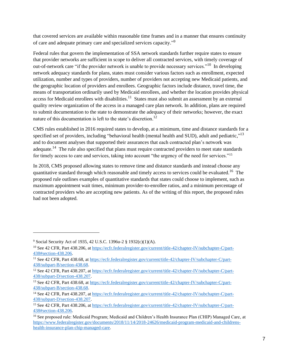that covered services are available within reasonable time frames and in a manner that ensures continuity of care and adequate primary care and specialized services capacity."<sup>9</sup>

Federal rules that govern the implementation of SSA network standards further require states to ensure that provider networks are sufficient in scope to deliver all contracted services, with timely coverage of out-of-network care "if the provider network is unable to provide necessary services."<sup>10</sup> In developing network adequacy standards for plans, states must consider various factors such as enrollment, expected utilization, number and types of providers, number of providers not accepting new Medicaid patients, and the geographic location of providers and enrollees. Geographic factors include distance, travel time, the means of transportation ordinarily used by Medicaid enrollees, and whether the location provides physical access for Medicaid enrollees with disabilities. $11$  States must also submit an assessment by an external quality review organization of the access in a managed care plan network. In addition, plans are required to submit documentation to the state to demonstrate the adequacy of their networks; however, the exact nature of this documentation is left to the state's discretion.<sup>12</sup>

CMS rules established in 2016 required states to develop, at a minimum, time and distance standards for a specified set of providers, including "behavioral health (mental health and SUD), adult and pediatric,"<sup>13</sup> and to document analyses that supported their assurances that each contracted plan's network was adequate.<sup>14</sup> The rule also specified that plans must require contracted providers to meet state standards for timely access to care and services, taking into account "the urgency of the need for services."<sup>15</sup>

In 2018, CMS proposed allowing states to remove time and distance standards and instead choose any quantitative standard through which reasonable and timely access to services could be evaluated.<sup>16</sup> The proposed rule outlines examples of quantitative standards that states could choose to implement, such as maximum appointment wait times, minimum provider-to-enrollee ratios, and a minimum percentage of contracted providers who are accepting new patients. As of the writing of this report, the proposed rules had not been adopted.

<sup>9</sup> Social Security Act of 1935, 42 U.S.C. 1396u-2 § 1932(c)(1)(A).

<sup>&</sup>lt;sup>10</sup> See 42 CFR, Part 438.206, at [https://ecfr.federalregister.gov/current/title-42/chapter-IV/subchapter-C/part-](https://ecfr.federalregister.gov/current/title-42/chapter-IV/subchapter-C/part-438#section-438.206)[438#section-438.206.](https://ecfr.federalregister.gov/current/title-42/chapter-IV/subchapter-C/part-438#section-438.206)

<sup>11</sup> See 42 CFR, Part 438.68, at [https://ecfr.federalregister.gov/current/title-42/chapter-IV/subchapter-C/part-](https://ecfr.federalregister.gov/current/title-42/chapter-IV/subchapter-C/part-438/subpart-B/section-438.68)[438/subpart-B/section-438.68.](https://ecfr.federalregister.gov/current/title-42/chapter-IV/subchapter-C/part-438/subpart-B/section-438.68)

<sup>&</sup>lt;sup>12</sup> See 42 CFR, Part 438.207, at [https://ecfr.federalregister.gov/current/title-42/chapter-IV/subchapter-C/part-](https://ecfr.federalregister.gov/current/title-42/chapter-IV/subchapter-C/part-438/subpart-D/section-438.207)[438/subpart-D/section-438.207.](https://ecfr.federalregister.gov/current/title-42/chapter-IV/subchapter-C/part-438/subpart-D/section-438.207)

<sup>13</sup> See 42 CFR, Part 438.68, at [https://ecfr.federalregister.gov/current/title-42/chapter-IV/subchapter-C/part-](https://ecfr.federalregister.gov/current/title-42/chapter-IV/subchapter-C/part-438/subpart-B/section-438.68)[438/subpart-B/section-438.68.](https://ecfr.federalregister.gov/current/title-42/chapter-IV/subchapter-C/part-438/subpart-B/section-438.68)

<sup>14</sup> See 42 CFR, Part 438.207, at [https://ecfr.federalregister.gov/current/title-42/chapter-IV/subchapter-C/part-](https://ecfr.federalregister.gov/current/title-42/chapter-IV/subchapter-C/part-438/subpart-D/section-438.207)[438/subpart-D/section-438.207.](https://ecfr.federalregister.gov/current/title-42/chapter-IV/subchapter-C/part-438/subpart-D/section-438.207)

<sup>15</sup> See 42 CFR, Part 438.206, at [https://ecfr.federalregister.gov/current/title-42/chapter-IV/subchapter-C/part-](https://ecfr.federalregister.gov/current/title-42/chapter-IV/subchapter-C/part-438#section-438.206)[438#section-438.206.](https://ecfr.federalregister.gov/current/title-42/chapter-IV/subchapter-C/part-438#section-438.206)

<sup>16</sup> See proposed rule: Medicaid Program; Medicaid and Children's Health Insurance Plan (CHIP) Managed Care, at [https://www.federalregister.gov/documents/2018/11/14/2018-24626/medicaid-program-medicaid-and-childrens](https://www.federalregister.gov/documents/2018/11/14/2018-24626/medicaid-program-medicaid-and-childrens-health-insurance-plan-chip-managed-care)[health-insurance-plan-chip-managed-care.](https://www.federalregister.gov/documents/2018/11/14/2018-24626/medicaid-program-medicaid-and-childrens-health-insurance-plan-chip-managed-care)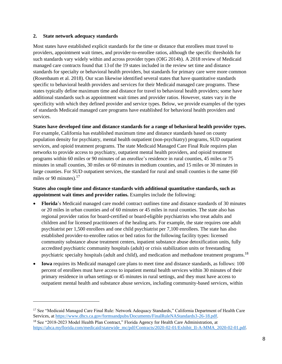#### **2. State network adequacy standards**

Most states have established explicit standards for the time or distance that enrollees must travel to providers, appointment wait times, and provider-to-enrollee ratios, although the specific thresholds for such standards vary widely within and across provider types (OIG 2014b). A 2018 review of Medicaid managed care contracts found that 13 of the 19 states included in the review set time and distance standards for specialty or behavioral health providers, but standards for primary care were more common (Rosenbaum et al. 2018). Our scan likewise identified several states that have quantitative standards specific to behavioral health providers and services for their Medicaid managed care programs. These states typically define maximum time and distance for travel to behavioral health providers; some have additional standards such as appointment wait times and provider ratios. However, states vary in the specificity with which they defined provider and service types. Below, we provide examples of the types of standards Medicaid managed care programs have established for behavioral health providers and services.

**States have developed time and distance standards for a range of behavioral health provider types.** 

For example, California has established maximum time and distance standards based on county population density for psychiatry, mental health outpatient (non-psychiatry) programs, SUD outpatient services, and opioid treatment programs. The state Medicaid Managed Care Final Rule requires plan networks to provide access to psychiatry, outpatient mental health providers, and opioid treatment programs within 60 miles or 90 minutes of an enrollee's residence in rural counties, 45 miles or 75 minutes in small counties, 30 miles or 60 minutes in medium counties, and 15 miles or 30 minutes in large counties. For SUD outpatient services, the standard for rural and small counties is the same (60 miles or 90 minutes). $17$ 

## **States also couple time and distance standards with additional quantitative standards, such as appointment wait times and provider ratios.** Examples include the following:

- **Florida**'s Medicaid managed care model contract outlines time and distance standards of 30 minutes or 20 miles in urban counties and of 60 minutes or 45 miles in rural counties. The state also has regional provider ratios for board-certified or board-eligible psychiatrists who treat adults and children and for licensed practitioners of the healing arts. For example, the state requires one adult psychiatrist per 1,500 enrollees and one child psychiatrist per 7,100 enrollees. The state has also established provider-to-enrollee ratios or bed ratios for the following facility types: licensed community substance abuse treatment centers, inpatient substance abuse detoxification units, fully accredited psychiatric community hospitals (adult) or crisis stabilization units or freestanding psychiatric specialty hospitals (adult and child), and medication and methadone treatment programs.<sup>18</sup>
- **Iowa** requires its Medicaid managed care plans to meet time and distance standards, as follows: 100 percent of enrollees must have access to inpatient mental health services within 30 minutes of their primary residence in urban settings or 45 minutes in rural settings, and they must have access to outpatient mental health and substance abuse services, including community-based services, within

<sup>&</sup>lt;sup>17</sup> See "Medicaid Managed Care Final Rule: Network Adequacy Standards," California Department of Health Care Services, a[t https://www.dhcs.ca.gov/formsandpubs/Documents/FinalRuleNAStandards3-26-18.pdf.](https://www.dhcs.ca.gov/formsandpubs/Documents/FinalRuleNAStandards3-26-18.pdf)

<sup>&</sup>lt;sup>18</sup> See "2018-2023 Model Health Plan Contract," Florida Agency for Health Care Administration, at [https://ahca.myflorida.com/medicaid/statewide\\_mc/pdf/Contracts/2020-02-01/Exhibit\\_II-A-MMA\\_2020-02-01.pdf.](https://ahca.myflorida.com/medicaid/statewide_mc/pdf/Contracts/2020-02-01/Exhibit_II-A-MMA_2020-02-01.pdf)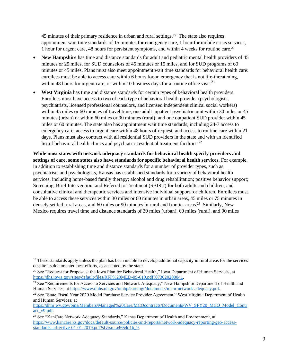45 minutes of their primary residence in urban and rural settings.<sup>19</sup> The state also requires appointment wait time standards of 15 minutes for emergency care, 1 hour for mobile crisis services, 1 hour for urgent care, 48 hours for persistent symptoms, and within 4 weeks for routine care.<sup>20</sup>

- **New Hampshire** has time and distance standards for adult and pediatric mental health providers of 45 minutes or 25 miles, for SUD counselors of 45 minutes or 15 miles, and for SUD programs of 60 minutes or 45 miles. Plans must also meet appointment wait time standards for behavioral health care: enrollees must be able to access care within 6 hours for an emergency that is not life-threatening, within 48 hours for urgent care, or within 10 business days for a routine office visit.<sup>21</sup>
- **West Virginia** has time and distance standards for certain types of behavioral health providers. Enrollees must have access to two of each type of behavioral health provider (psychologists, psychiatrists, licensed professional counselors, and licensed independent clinical social workers) within 45 miles or 60 minutes of travel time; one adult inpatient psychiatric unit within 30 miles or 45 minutes (urban) or within 60 miles or 90 minutes (rural); and one outpatient SUD provider within 45 miles or 60 minutes. The state also has appointment wait time standards, including 24-7 access to emergency care, access to urgent care within 48 hours of request, and access to routine care within 21 days. Plans must also contract with all residential SUD providers in the state and with an identified list of behavioral health clinics and psychiatric residential treatment facilities.<sup>22</sup>

**While most states with network adequacy standards for behavioral health specify providers and settings of care, some states also have standards for specific behavioral health services.** For example, in addition to establishing time and distance standards for a number of provider types, such as psychiatrists and psychologists, Kansas has established standards for a variety of behavioral health services, including home-based family therapy; alcohol and drug rehabilitation; positive behavior support; Screening, Brief Intervention, and Referral to Treatment (SBIRT) for both adults and children; and consultative clinical and therapeutic services and intensive individual support for children. Enrollees must be able to access these services within 30 miles or 60 minutes in urban areas, 45 miles or 75 minutes in densely settled rural areas, and 60 miles or 90 minutes in rural and frontier areas.<sup>23</sup> Similarly, New Mexico requires travel time and distance standards of 30 miles (urban), 60 miles (rural), and 90 miles

<sup>&</sup>lt;sup>19</sup> These standards apply unless the plan has been unable to develop additional capacity in rural areas for the services despite its documented best efforts, as accepted by the state.

<sup>&</sup>lt;sup>20</sup> See "Request for Proposals: the Iowa Plan for Behavioral Health," Iowa Department of Human Services, at [https://dhs.iowa.gov/sites/default/files/RFP%20MED-09-010.pdf?073020200041.](https://dhs.iowa.gov/sites/default/files/RFP%20MED-09-010.pdf?073020200041) 

<sup>&</sup>lt;sup>21</sup> See "Requirements for Access to Services and Network Adequacy," New Hampshire Department of Health and Human Services, a[t https://www.dhhs.nh.gov/ombp/caremgt/documents/mcm-network-adequacy.pdf.](https://www.dhhs.nh.gov/ombp/caremgt/documents/mcm-network-adequacy.pdf)

<sup>&</sup>lt;sup>22</sup> See "State Fiscal Year 2020 Model Purchase Service Provider Agreement," West Virginia Department of Health and Human Services, at

[https://dhhr.wv.gov/bms/Members/Managed%20Care/MCOcontracts/Documents/WV\\_SFY20\\_MCO\\_Model\\_Contr](https://dhhr.wv.gov/bms/Members/Managed%20Care/MCOcontracts/Documents/WV_SFY20_MCO_Model_Contract_v9.pdf) [act\\_v9.pdf.](https://dhhr.wv.gov/bms/Members/Managed%20Care/MCOcontracts/Documents/WV_SFY20_MCO_Model_Contract_v9.pdf)

<sup>23</sup> See "KanCare Network Adequacy Standards," Kanas Department of Health and Environment, at [https://www.kancare.ks.gov/docs/default-source/policies-and-reports/network-adequacy-reporting/geo-access](https://www.kancare.ks.gov/docs/default-source/policies-and-reports/network-adequacy-reporting/geo-access-standards--effective-01-01-2019.pdf?sfvrsn=a4654d1b_9)[standards--effective-01-01-2019.pdf?sfvrsn=a4654d1b\\_9.](https://www.kancare.ks.gov/docs/default-source/policies-and-reports/network-adequacy-reporting/geo-access-standards--effective-01-01-2019.pdf?sfvrsn=a4654d1b_9)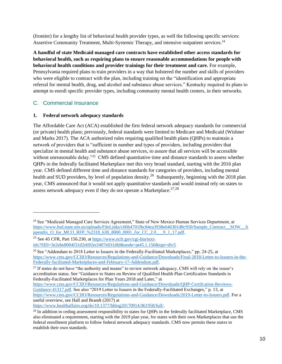(frontier) for a lengthy list of behavioral health provider types, as well the following specific services: Assertive Community Treatment, Multi-Systemic Therapy, and intensive outpatient services.<sup>24</sup>

**A handful of state Medicaid managed care contracts have established other access standards for behavioral health, such as requiring plans to ensure reasonable accommodations for people with behavioral health conditions and provider trainings for their treatment and care.** For example, Pennsylvania required plans to train providers in a way that bolstered the number and skills of providers who were eligible to contract with the plan, including training on the "identification and appropriate referral for mental health, drug, and alcohol and substance abuse services." Kentucky required its plans to attempt to enroll specific provider types, including community mental health centers, in their networks.

## C. Commercial Insurance

## **1. Federal network adequacy standards**

The Affordable Care Act (ACA) established the first federal network adequacy standards for commercial (or private) health plans; previously, federal standards were limited to Medicare and Medicaid (Wishner and Marks 2017). The ACA authorized rules requiring qualified health plans (QHPs) to maintain a network of providers that is "sufficient in number and types of providers, including providers that specialize in mental health and substance abuse services, to assure that all services will be accessible without unreasonable delay.<sup>"25</sup> CMS defined quantitative time and distance standards to assess whether QHPs in the federally facilitated Marketplace met this very broad standard, starting with the 2016 plan year. CMS defined different time and distance standards for categories of providers, including mental health and SUD providers, by level of population density.<sup>26</sup> Subsequently, beginning with the 2018 plan year, CMS announced that it would not apply quantitative standards and would instead rely on states to assess network adequacy even if they do not operate a Marketplace.  $27,28$ 

[https://www.healthaffairs.org/do/10.1377/hblog20170914.061958/full/.](https://www.healthaffairs.org/do/10.1377/hblog20170914.061958/full/) 

<sup>&</sup>lt;sup>24</sup> See "Medicaid Managed Care Services Agreement," State of New Mexico Human Services Department, at [https://www.hsd.state.nm.us/uploads/FileLinks/c06b4701fbc84ea3938e646301d8c950/Sample\\_Contract\\_\\_SOW\\_\\_A](https://www.hsd.state.nm.us/uploads/FileLinks/c06b4701fbc84ea3938e646301d8c950/Sample_Contract__SOW__Appendix_O_for_MCO_RFP_%2318_630_8000_0001_for_CC_2.0___9_1_17.pdf) [ppendix\\_O\\_for\\_MCO\\_RFP\\_%2318\\_630\\_8000\\_0001\\_for\\_CC\\_2.0\\_\\_\\_9\\_1\\_17.pdf.](https://www.hsd.state.nm.us/uploads/FileLinks/c06b4701fbc84ea3938e646301d8c950/Sample_Contract__SOW__Appendix_O_for_MCO_RFP_%2318_630_8000_0001_for_CC_2.0___9_1_17.pdf)

<sup>&</sup>lt;sup>25</sup> See 45 CFR, Part 156.230, at [https://www.ecfr.gov/cgi-bin/text-](https://www.ecfr.gov/cgi-bin/text-idx?SID=3e2ebe8004f31d2eb92ecf407e031dfd&node=pt45.1.156&rgn=div5)

[idx?SID=3e2ebe8004f31d2eb92ecf407e031dfd&node=pt45.1.156&rgn=div5](https://www.ecfr.gov/cgi-bin/text-idx?SID=3e2ebe8004f31d2eb92ecf407e031dfd&node=pt45.1.156&rgn=div5)

<sup>&</sup>lt;sup>26</sup> See "Addendum to 2018 Letter to Issuers in the Federally-Facilitated Marketplaces," pp. 24-25, at [https://www.cms.gov/CCIIO/Resources/Regulations-and-Guidance/Downloads/Final-2018-Letter-to-Issuers-in-the-](https://www.cms.gov/CCIIO/Resources/Regulations-and-Guidance/Downloads/Final-2018-Letter-to-Issuers-in-the-Federally-facilitated-Marketplaces-and-February-17-Addendum.pdf)[Federally-facilitated-Marketplaces-and-February-17-Addendum.pdf.](https://www.cms.gov/CCIIO/Resources/Regulations-and-Guidance/Downloads/Final-2018-Letter-to-Issuers-in-the-Federally-facilitated-Marketplaces-and-February-17-Addendum.pdf)

<sup>&</sup>lt;sup>27</sup> If states do not have "the authority and means" to review network adequacy, CMS will rely on the issuer's accreditation status. See "Guidance to States on Review of Qualified Health Plan Certification Standards in Federally-Facilitated Marketplaces for Plan Years 2018 and Later," at

[https://www.cms.gov/CCIIO/Resources/Regulations-and-Guidance/Downloads/QHP-Certifcation-Reviews-](https://www.cms.gov/CCIIO/Resources/Regulations-and-Guidance/Downloads/QHP-Certifcation-Reviews-Guidance-41317.pdf)[Guidance-41317.pdf.](https://www.cms.gov/CCIIO/Resources/Regulations-and-Guidance/Downloads/QHP-Certifcation-Reviews-Guidance-41317.pdf) See also "2019 Letter to Issuers in the Federally-Facilitated Exchanges," p. 13, at [https://www.cms.gov/CCIIO/Resources/Regulations-and-Guidance/Downloads/2019-Letter-to-Issuers.pdf.](https://www.cms.gov/CCIIO/Resources/Regulations-and-Guidance/Downloads/2019-Letter-to-Issuers.pdf) For a useful overview, see Hall and Brandt (2017) at

 $^{28}$  In addition to ceding assessment responsibility to states for OHPs in the federally facilitated Marketplace, CMS also eliminated a requirement, starting with the 2019 plan year, for states with their own Marketplaces that use the federal enrollment platform to follow federal network adequacy standards. CMS now permits these states to establish their own standards.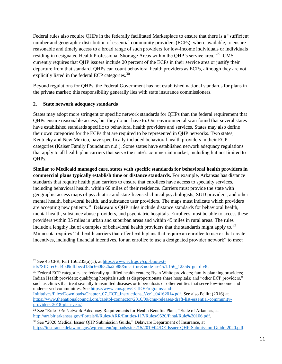Federal rules also require QHPs in the federally facilitated Marketplace to ensure that there is a "sufficient number and geographic distribution of essential community providers (ECPs), where available, to ensure reasonable and timely access to a broad range of such providers for low-income individuals or individuals residing in designated Health Professional Shortage Areas within the QHP's service area."<sup>29</sup> CMS currently requires that QHP issuers include 20 percent of the ECPs in their service area or justify their departure from that standard. QHPs can count behavioral health providers as ECPs, although they are not explicitly listed in the federal ECP categories.<sup>30</sup>

Beyond regulations for QHPs, the Federal Government has not established national standards for plans in the private market; this responsibility generally lies with state insurance commissioners.

## **2. State network adequacy standards**

States may adopt more stringent or specific network standards for QHPs than the federal requirement that QHPs ensure reasonable access, but they do not have to. Our environmental scan found that several states have established standards specific to behavioral health providers and services. States may also define their own categories for the ECPs that are required to be represented in QHP networks. Two states, Kentucky and New Mexico, have specifically included behavioral health providers in their ECP categories (Kaiser Family Foundation n.d.). Some states have established network adequacy regulations that apply to all health plan carriers that serve the state's commercial market, including but not limited to QHPs.

**Similar to Medicaid managed care, states with specific standards for behavioral health providers in commercial plans typically establish time or distance standards.** For example, Arkansas has distance standards that require health plan carriers to ensure that enrollees have access to specialty services, including behavioral health, within 60 miles of their residence. Carriers must provide the state with geographic access maps of psychiatric and state-licensed clinical psychologists; SUD providers; and other mental health, behavioral health, and substance user providers. The maps must indicate which providers are accepting new patients.<sup>31</sup> Delaware's QHP rules include distance standards for behavioral health, mental health, substance abuse providers, and psychiatric hospitals. Enrollees must be able to access these providers within 35 miles in urban and suburban areas and within 45 miles in rural areas. The rules include a lengthy list of examples of behavioral health providers that the standards might apply to.<sup>32</sup> Minnesota requires "all health carriers that offer health plans that require an enrollee to use or that create incentives, including financial incentives, for an enrollee to use a designated provider network" to meet

<sup>30</sup> Federal ECP categories are federally qualified health centers; Ryan White providers; family planning providers; Indian Health providers; qualifying hospitals such as disproportionate share hospitals; and "other ECP providers," such as clinics that treat sexually transmitted diseases or tuberculosis or other entities that serve low-income and underserved communities. See [https://www.cms.gov/CCIIO/Programs-and-](https://www.cms.gov/CCIIO/Programs-and-Initiatives/Files/Downloads/Chapter_07_ECP_Instructions_Ver1_04162014.pdf)

[Initiatives/Files/Downloads/Chapter\\_07\\_ECP\\_Instructions\\_Ver1\\_04162014.pdf.](https://www.cms.gov/CCIIO/Programs-and-Initiatives/Files/Downloads/Chapter_07_ECP_Instructions_Ver1_04162014.pdf) See also Pellitt (2016) at [https://www.thenationalcouncil.org/capitol-connector/2016/09/cms-releases-draft-list-essential-community](https://www.thenationalcouncil.org/capitol-connector/2016/09/cms-releases-draft-list-essential-community-providers-2018-plan-year/)[providers-2018-plan-year/.](https://www.thenationalcouncil.org/capitol-connector/2016/09/cms-releases-draft-list-essential-community-providers-2018-plan-year/)

<sup>&</sup>lt;sup>29</sup> See 45 CFR, Part  $156.235(a)(1)$ , at [https://www.ecfr.gov/cgi-bin/text](https://www.ecfr.gov/cgi-bin/text-idx?SID=ec6cf4bd9dfbbecd13bc660632ba2b88&mc=true&node=se45.1.156_1235&rgn=div8)[idx?SID=ec6cf4bd9dfbbecd13bc660632ba2b88&mc=true&node=se45.1.156\\_1235&rgn=div8.](https://www.ecfr.gov/cgi-bin/text-idx?SID=ec6cf4bd9dfbbecd13bc660632ba2b88&mc=true&node=se45.1.156_1235&rgn=div8)

<sup>&</sup>lt;sup>31</sup> See "Rule 106: Network Adequacy Requirements for Health Benefits Plans," State of Arkansas, at [http://arr.blr.arkansas.gov/Portals/0/Rules/ARR/Entities/117/Rules/9520/Final/Rule%20106.pdf.](http://arr.blr.arkansas.gov/Portals/0/Rules/ARR/Entities/117/Rules/9520/Final/Rule%20106.pdf)

<sup>&</sup>lt;sup>32</sup> See "2020 Medical Issuer OHP Submission Guide," Delaware Department of Insurance, at [https://insurance.delaware.gov/wp-content/uploads/sites/15/2019/04/DE-Issuer-QHP-Submission-Guide-2020.pdf.](https://insurance.delaware.gov/wp-content/uploads/sites/15/2019/04/DE-Issuer-QHP-Submission-Guide-2020.pdf)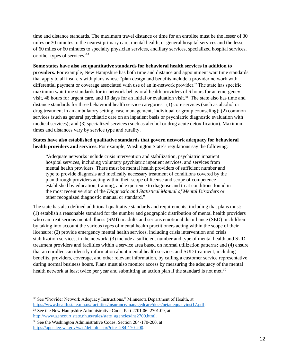time and distance standards. The maximum travel distance or time for an enrollee must be the lesser of 30 miles or 30 minutes to the nearest primary care, mental health, or general hospital services and the lesser of 60 miles or 60 minutes to specialty physician services, ancillary services, specialized hospital services, or other types of services.<sup>33</sup>

#### **Some states have also set quantitative standards for behavioral health services in addition to**

**providers.** For example, New Hampshire has both time and distance and appointment wait time standards that apply to all insurers with plans whose "plan design and benefits include a provider network with differential payment or coverage associated with use of an in-network provider." The state has specific maximum wait time standards for in-network behavioral health providers of 6 hours for an emergency visit, 48 hours for urgent care, and 10 days for an initial or evaluation visit.<sup>34</sup> The state also has time and distance standards for three behavioral health service categories: (1) core services (such as alcohol or drug treatment in an ambulatory setting, case management, individual or group counseling); (2) common services (such as general psychiatric care on an inpatient basis or psychiatric diagnostic evaluation with medical services); and (3) specialized services (such as alcohol or drug acute detoxification). Maximum times and distances vary by service type and rurality.

## **States have also established qualitative standards that govern network adequacy for behavioral health providers and services.** For example, Washington State's regulations say the following:

"Adequate networks include crisis intervention and stabilization, psychiatric inpatient hospital services, including voluntary psychiatric inpatient services, and services from mental health providers. There must be mental health providers of sufficient number and type to provide diagnosis and medically necessary treatment of conditions covered by the plan through providers acting within their scope of license and scope of competence established by education, training, and experience to diagnose and treat conditions found in the most recent version of the *Diagnostic and Statistical Manual of Mental Disorders* or other recognized diagnostic manual or standard."

The state has also defined additional qualitative standards and requirements, including that plans must: (1) establish a reasonable standard for the number and geographic distribution of mental health providers who can treat serious mental illness (SMI) in adults and serious emotional disturbance (SED) in children by taking into account the various types of mental health practitioners acting within the scope of their licensure; (2) provide emergency mental health services, including crisis intervention and crisis stabilization services, in the network; (3) include a sufficient number and type of mental health and SUD treatment providers and facilities within a service area based on normal utilization patterns; and (4) ensure that an enrollee can identify information about mental health services and SUD treatment, including benefits, providers, coverage, and other relevant information, by calling a customer service representative during normal business hours. Plans must also monitor access by measuring the adequacy of the mental health network at least twice per year and submitting an action plan if the standard is not met.<sup>35</sup>

<sup>33</sup> See "Provider Network Adequacy Instructions," Minnesota Department of Health, at [https://www.health.state.mn.us/facilities/insurance/managedcare/docs/netadequacyinst17.pdf.](https://www.health.state.mn.us/facilities/insurance/managedcare/docs/netadequacyinst17.pdf)

<sup>&</sup>lt;sup>34</sup> See the New Hampshire Administrative Code, Part 2701.06–2701.09, at [http://www.gencourt.state.nh.us/rules/state\\_agencies/ins2700.html.](http://www.gencourt.state.nh.us/rules/state_agencies/ins2700.html)

<sup>&</sup>lt;sup>35</sup> See the Washington Administrative Codes, Section 284-170-200, at [https://apps.leg.wa.gov/wac/default.aspx?cite=284-170-200.](https://apps.leg.wa.gov/wac/default.aspx?cite=284-170-200)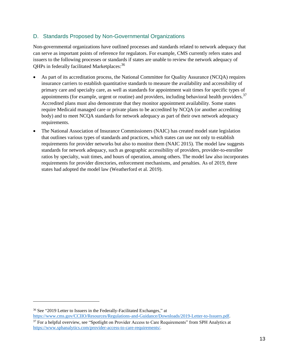## D. Standards Proposed by Non-Governmental Organizations

Non-governmental organizations have outlined processes and standards related to network adequacy that can serve as important points of reference for regulators. For example, CMS currently refers states and issuers to the following processes or standards if states are unable to review the network adequacy of QHPs in federally facilitated Marketplaces:<sup>36</sup>

- As part of its accreditation process, the National Committee for Quality Assurance (NCQA) requires insurance carriers to establish quantitative standards to measure the availability and accessibility of primary care and specialty care, as well as standards for appointment wait times for specific types of appointments (for example, urgent or routine) and providers, including behavioral health providers.<sup>37</sup> Accredited plans must also demonstrate that they monitor appointment availability. Some states require Medicaid managed care or private plans to be accredited by NCQA (or another accrediting body) and to meet NCQA standards for network adequacy as part of their own network adequacy requirements.
- The National Association of Insurance Commissioners (NAIC) has created model state legislation that outlines various types of standards and practices, which states can use not only to establish requirements for provider networks but also to monitor them (NAIC 2015). The model law suggests standards for network adequacy, such as geographic accessibility of providers, provider-to-enrollee ratios by specialty, wait times, and hours of operation, among others. The model law also incorporates requirements for provider directories, enforcement mechanisms, and penalties. As of 2019, three states had adopted the model law (Weatherford et al. 2019).

<sup>36</sup> See "2019 Letter to Issuers in the Federally-Facilitated Exchanges," at [https://www.cms.gov/CCIIO/Resources/Regulations-and-Guidance/Downloads/2019-Letter-to-Issuers.pdf.](https://www.cms.gov/CCIIO/Resources/Regulations-and-Guidance/Downloads/2019-Letter-to-Issuers.pdf)

 $37$  For a helpful overview, see "Spotlight on Provider Access to Care Requirements" from SPH Analytics at [https://www.sphanalytics.com/provider-access-to-care-requirements/.](https://www.sphanalytics.com/provider-access-to-care-requirements/)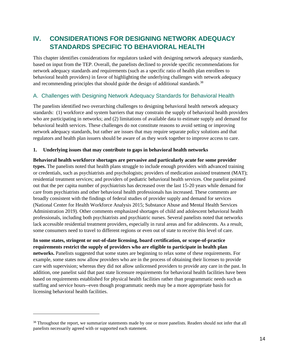## **IV. CONSIDERATIONS FOR DESIGNING NETWORK ADEQUACY STANDARDS SPECIFIC TO BEHAVIORAL HEALTH**

This chapter identifies considerations for regulators tasked with designing network adequacy standards, based on input from the TEP. Overall, the panelists declined to provide specific recommendations for network adequacy standards and requirements (such as a specific ratio of health plan enrollees to behavioral health providers) in favor of highlighting the underlying challenges with network adequacy and recommending principles that should guide the design of additional standards.<sup>38</sup>

## A. Challenges with Designing Network Adequacy Standards for Behavioral Health

The panelists identified two overarching challenges to designing behavioral health network adequacy standards: (1) workforce and system barriers that may constrain the supply of behavioral health providers who are participating in networks; and (2) limitations of available data to estimate supply and demand for behavioral health services. These challenges do not constitute reasons to avoid setting or improving network adequacy standards, but rather are issues that may require separate policy solutions and that regulators and health plan issuers should be aware of as they work together to improve access to care.

## **1. Underlying issues that may contribute to gaps in behavioral health networks**

**Behavioral health workforce shortages are pervasive and particularly acute for some provider types.** The panelists noted that health plans struggle to include enough providers with advanced training or credentials, such as psychiatrists and psychologists; providers of medication assisted treatment (MAT); residential treatment services; and providers of pediatric behavioral health services. One panelist pointed out that the per capita number of psychiatrists has decreased over the last 15-20 years while demand for care from psychiatrists and other behavioral health professionals has increased. These comments are broadly consistent with the findings of federal studies of provider supply and demand for services (National Center for Health Workforce Analysis 2015; Substance Abuse and Mental Health Services Administration 2019). Other comments emphasized shortages of child and adolescent behavioral health professionals, including both psychiatrists and psychiatric nurses. Several panelists noted that networks lack accessible residential treatment providers, especially in rural areas and for adolescents. As a result, some consumers need to travel to different regions or even out of state to receive this level of care.

**In some states, stringent or out-of-date licensing, board certification, or scope-of-practice requirements restrict the supply of providers who are eligible to participate in health plan networks.** Panelists suggested that some states are beginning to relax some of these requirements. For example, some states now allow providers who are in the process of obtaining their licenses to provide care with supervision; whereas they did not allow unlicensed providers to provide any care in the past. In addition, one panelist said that past state licensure requirements for behavioral health facilities have been based on requirements established for physical health facilities rather than programmatic needs such as staffing and service hours--even though programmatic needs may be a more appropriate basis for licensing behavioral health facilities.

<sup>&</sup>lt;sup>38</sup> Throughout the report, we summarize statements made by one or more panelists. Readers should not infer that all panelists necessarily agreed with or supported each statement.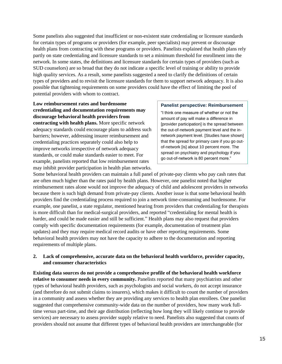Some panelists also suggested that insufficient or non-existent state credentialing or licensure standards for certain types of programs or providers (for example, peer specialists) may prevent or discourage health plans from contracting with these programs or providers. Panelists explained that health plans rely partly on state credentialing and licensure standards to set a minimum threshold for enrollment into the network. In some states, the definitions and licensure standards for certain types of providers (such as SUD counselors) are so broad that they do not indicate a specific level of training or ability to provide high quality services. As a result, some panelists suggested a need to clarify the definitions of certain types of providers and to revisit the licensure standards for them to support network adequacy. It is also possible that tightening requirements on some providers could have the effect of limiting the pool of potential providers with whom to contract.

## **Low reimbursement rates and burdensome credentialing and documentation requirements may discourage behavioral health providers from contracting with health plans.** More specific network adequacy standards could encourage plans to address such barriers; however, addressing insurer reimbursement and credentialing practices separately could also help to improve networks irrespective of network adequacy

standards, or could make standards easier to meet. For example, panelists reported that low reimbursement rates may inhibit provider participation in health plan networks.

#### **Panelist perspective: Reimbursement**

"I think one measure of whether or not the amount of pay will make a difference in [provider participation] is the spread between the out-of-network payment level and the innetwork payment level. [Studies have shown] that the spread for primary care if you go outof-network [is] about 10 percent more. The spread on psychiatry and psychology if you go out-of-network is 80 percent more."

Some behavioral health providers can maintain a full panel of private-pay clients who pay cash rates that are often much higher than the rates paid by health plans. However, one panelist noted that higher reimbursement rates alone would not improve the adequacy of child and adolescent providers in networks because there is such high demand from private-pay clients. Another issue is that some behavioral health providers find the credentialing process required to join a network time-consuming and burdensome. For example, one panelist, a state regulator, mentioned hearing from providers that credentialing for therapists is more difficult than for medical-surgical providers, and reported "credentialing for mental health is harder, and could be made easier and still be sufficient." Health plans may also request that providers comply with specific documentation requirements (for example, documentation of treatment plan updates) and they may require medical record audits or have other reporting requirements. Some behavioral health providers may not have the capacity to adhere to the documentation and reporting requirements of multiple plans.

### **2. Lack of comprehensive, accurate data on the behavioral health workforce, provider capacity, and consumer characteristics**

**Existing data sources do not provide a comprehensive profile of the behavioral health workforce relative to consumer needs in every community.** Panelists reported that many psychiatrists and other types of behavioral health providers, such as psychologists and social workers, do not accept insurance (and therefore do not submit claims to insurers), which makes it difficult to count the number of providers in a community and assess whether they are providing any services to health plan enrollees. One panelist suggested that comprehensive community-wide data on the number of providers, how many work fulltime versus part-time, and their age distribution (reflecting how long they will likely continue to provide services) are necessary to assess provider supply relative to need. Panelists also suggested that counts of providers should not assume that different types of behavioral health providers are interchangeable (for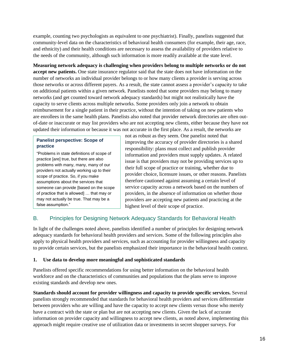example, counting two psychologists as equivalent to one psychiatrist). Finally, panelists suggested that community-level data on the characteristics of behavioral health consumers (for example, their age, race, and ethnicity) and their health conditions are necessary to assess the availability of providers relative to the needs of the community, although such information is more readily available at the state level.

**Measuring network adequacy is challenging when providers belong to multiple networks or do not accept new patients.** One state insurance regulator said that the state does not have information on the number of networks an individual provider belongs to or how many clients a provider is serving across those networks or across different payers. As a result, the state cannot assess a provider's capacity to take on additional patients within a given network. Panelists noted that some providers may belong to many networks (and get counted toward network adequacy standards) but might not realistically have the capacity to serve clients across multiple networks. Some providers only join a network to obtain reimbursement for a single patient in their practice, without the intention of taking on new patients who are enrollees in the same health plans. Panelists also noted that provider network directories are often outof-date or inaccurate or may list providers who are not accepting new clients, either because they have not updated their information or because it was not accurate in the first place. As a result, the networks are

#### **Panelist perspective: Scope of practice**

"Problems in state definitions of scope of practice [are] true, but there are also problems with many, many, many of our providers not actually working up to their scope of practice. So, if you make assumptions about the services that someone can provide [based on the scope of practice that is allowed] … that may or may not actually be true. That may be a false assumption."

not as robust as they seem. One panelist noted that improving the accuracy of provider directories is a shared responsibility: plans must collect and publish provider information and providers must supply updates. A related issue is that providers may not be providing services up to their full scope of practice or training, whether due to provider choice, licensure issues, or other reasons. Panelists therefore cautioned against assuming a certain level of service capacity across a network based on the numbers of providers, in the absence of information on whether those providers are accepting new patients and practicing at the highest level of their scope of practice.

## B. Principles for Designing Network Adequacy Standards for Behavioral Health

In light of the challenges noted above, panelists identified a number of principles for designing network adequacy standards for behavioral health providers and services. Some of the following principles also apply to physical health providers and services, such as accounting for provider willingness and capacity to provide certain services, but the panelists emphasized their importance in the behavioral health context.

#### **1. Use data to develop more meaningful and sophisticated standards**

Panelists offered specific recommendations for using better information on the behavioral health workforce and on the characteristics of communities and populations that the plans serve to improve existing standards and develop new ones.

**Standards should account for provider willingness and capacity to provide specific services.** Several panelists strongly recommended that standards for behavioral health providers and services differentiate between providers who are willing and have the capacity to accept new clients versus those who merely have a contract with the state or plan but are not accepting new clients. Given the lack of accurate information on provider capacity and willingness to accept new clients, as noted above, implementing this approach might require creative use of utilization data or investments in secret shopper surveys. For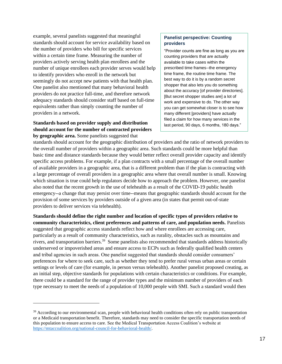example, several panelists suggested that meaningful standards should account for service availability based on the number of providers who bill for specific services within a certain time frame. Measuring the number of providers actively serving health plan enrollees and the number of unique enrollees each provider serves would help to identify providers who enroll in the network but seemingly do not accept new patients with that health plan. One panelist also mentioned that many behavioral health providers do not practice full-time, and therefore network adequacy standards should consider staff based on full-time equivalents rather than simply counting the number of providers in a network.

#### **Standards based on provider supply and distribution should account for the number of contracted providers by geographic area.** Some panelists suggested that

#### **Panelist perspective: Counting providers**

"Provider counts are fine as long as you are counting providers that are actually available to take cases within the prescribed time frames--the emergency time frame, the routine time frame. The best way to do it is by a random secret shopper that also lets you do something about the accuracy [of provider directories]. [But secret shopper studies are] a lot of work and expensive to do. The other way you can get somewhat closer is to see how many different [providers] have actually filed a claim for how many services in the last period, 90 days, 6 months, 180 days."

standards should account for the geographic distribution of providers and the ratio of network providers to the overall number of providers within a geographic area. Such standards could be more helpful than basic time and distance standards because they would better reflect overall provider capacity and identify specific access problems. For example, if a plan contracts with a small percentage of the overall number of available providers in a geographic area, that is a different problem than if the plan is contracting with a large percentage of overall providers in a geographic area where that overall number is small. Knowing which situation is true could help regulators decide how to approach the problem. However, one panelist also noted that the recent growth in the use of telehealth as a result of the COVID-19 public health emergency--a change that may persist over time--means that geographic standards should account for the provision of some services by providers outside of a given area (in states that permit out-of-state providers to deliver services via telehealth).

**Standards should define the right number and location of specific types of providers relative to community characteristics, client preferences and patterns of care, and population needs.** Panelists suggested that geographic access standards reflect how and where enrollees are accessing care, particularly as a result of community characteristics, such as rurality, obstacles such as mountains and rivers, and transportation barriers.<sup>39</sup> Some panelists also recommended that standards address historically underserved or impoverished areas and ensure access to ECPs such as federally qualified health centers and tribal agencies in such areas. One panelist suggested that standards should consider consumers' preferences for where to seek care, such as whether they tend to prefer rural versus urban areas or certain settings or levels of care (for example, in person versus telehealth). Another panelist proposed creating, as an initial step, objective standards for populations with certain characteristics or conditions. For example, there could be a standard for the range of provider types and the minimum number of providers of each type necessary to meet the needs of a population of 10,000 people with SMI. Such a standard would then

<sup>&</sup>lt;sup>39</sup> According to our environmental scan, people with behavioral health conditions often rely on public transportation or a Medicaid transportation benefit. Therefore, standards may need to consider the specific transportation needs of this population to ensure access to care. See the Medical Transportation Access Coalition's website at [https://mtaccoalition.org/national-council-for-behavioral-health/.](https://mtaccoalition.org/national-council-for-behavioral-health/)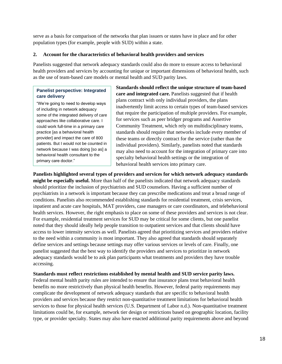serve as a basis for comparison of the networks that plan issuers or states have in place and for other population types (for example, people with SUD) within a state.

#### **2. Account for the characteristics of behavioral health providers and services**

Panelists suggested that network adequacy standards could also do more to ensure access to behavioral health providers and services by accounting for unique or important dimensions of behavioral health, such as the use of team-based care models or mental health and SUD parity laws.

#### **Panelist perspective: Integrated care delivery**

"We're going to need to develop ways of including in network adequacy some of the integrated delivery of care approaches like collaborative care. I could work full-time in a primary care practice [as a behavioral health provider] and impact the care of 800 patients. But I would not be counted in network because I was doing [so as] a behavioral health consultant to the primary care doctor."

**Standards should reflect the unique structure of team-based care and integrated care.** Panelists suggested that if health plans contract with only individual providers, the plans inadvertently limit access to certain types of team-based services that require the participation of multiple providers. For example, for services such as peer bridger programs and Assertive Community Treatment, which rely on multidisciplinary teams, standards should require that networks include every member of these teams or directly contract for the service (rather than the individual providers). Similarly, panelists noted that standards may also need to account for the integration of primary care into specialty behavioral health settings or the integration of behavioral health services into primary care.

**Panelists highlighted several types of providers and services for which network adequacy standards might be especially useful.** More than half of the panelists indicated that network adequacy standards should prioritize the inclusion of psychiatrists and SUD counselors. Having a sufficient number of psychiatrists in a network is important because they can prescribe medications and treat a broad range of conditions. Panelists also recommended establishing standards for residential treatment, crisis services, inpatient and acute care hospitals, MAT providers, case managers or care coordinators, and telebehavioral health services. However, the right emphasis to place on some of these providers and services is not clear. For example, residential treatment services for SUD may be critical for some clients, but one panelist noted that they should ideally help people transition to outpatient services and that clients should have access to lower intensity services as well. Panelists agreed that prioritizing services and providers relative to the need within a community is most important. They also agreed that standards should separately define services and settings because settings may offer various services or levels of care. Finally, one panelist suggested that the best way to identify the providers and services to prioritize in network adequacy standards would be to ask plan participants what treatments and providers they have trouble accessing.

#### **Standards must reflect restrictions established by mental health and SUD service parity laws.**

Federal mental health parity rules are intended to ensure that insurance plans treat behavioral health benefits no more restrictively than physical health benefits. However, federal parity requirements may complicate the development of network adequacy standards that are specific to behavioral health providers and services because they restrict non-quantitative treatment limitations for behavioral health services to those for physical health services (U.S. Department of Labor n.d.). Non-quantitative treatment limitations could be, for example, network tier design or restrictions based on geographic location, facility type, or provider specialty. States may also have enacted additional parity requirements above and beyond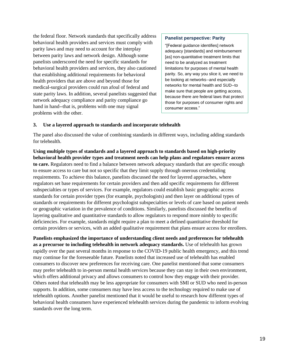the federal floor. Network standards that specifically address behavioral health providers and services must comply with parity laws and may need to account for the interplay between parity laws and network design. Although some panelists underscored the need for specific standards for behavioral health providers and services, they also cautioned that establishing additional requirements for behavioral health providers that are above and beyond those for medical-surgical providers could run afoul of federal and state parity laws. In addition, several panelists suggested that network adequacy compliance and parity compliance go hand in hand--that is, problems with one may signal problems with the other.

#### **Panelist perspective: Parity**

"[Federal guidance identifies] network adequacy [standards] and reimbursement [as] non-quantitative treatment limits that need to be analyzed as treatment limitations for purposes of mental health parity. So, any way you slice it, we need to be looking at networks--and especially networks for mental health and SUD--to make sure that people are getting access, because there are federal laws that protect those for purposes of consumer rights and consumer access."

#### **3. Use a layered approach to standards and incorporate telehealth**

The panel also discussed the value of combining standards in different ways, including adding standards for telehealth.

**Using multiple types of standards and a layered approach to standards based on high-priority behavioral health provider types and treatment needs can help plans and regulators ensure access to care.** Regulators need to find a balance between network adequacy standards that are specific enough to ensure access to care but not so specific that they limit supply through onerous credentialing requirements. To achieve this balance, panelists discussed the need for layered approaches, where regulators set base requirements for certain providers and then add specific requirements for different subspecialties or types of services. For example, regulators could establish basic geographic access standards for certain provider types (for example, psychologists) and then layer on additional types of standards or requirements for different psychologist subspecialties or levels of care based on patient needs or geographic variation in the prevalence of conditions. Similarly, panelists discussed the benefits of layering qualitative and quantitative standards to allow regulators to respond more nimbly to specific deficiencies. For example, standards might require a plan to meet a defined quantitative threshold for certain providers or services, with an added qualitative requirement that plans ensure access for enrollees.

**Panelists emphasized the importance of understanding client needs and preferences for telehealth as a precursor to including telehealth in network adequacy standards.** Use of telehealth has grown rapidly over the past several months in response to the COVID-19 public health emergency, and this trend may continue for the foreseeable future. Panelists noted that increased use of telehealth has enabled consumers to discover new preferences for receiving care. One panelist mentioned that some consumers may prefer telehealth to in-person mental health services because they can stay in their own environment, which offers additional privacy and allows consumers to control how they engage with their provider. Others noted that telehealth may be less appropriate for consumers with SMI or SUD who need in-person supports. In addition, some consumers may have less access to the technology required to make use of telehealth options. Another panelist mentioned that it would be useful to research how different types of behavioral health consumers have experienced telehealth services during the pandemic to inform evolving standards over the long term.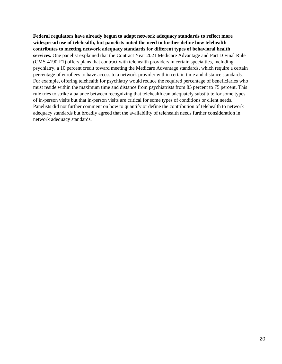**Federal regulators have already begun to adapt network adequacy standards to reflect more widespread use of telehealth, but panelists noted the need to further define how telehealth contributes to meeting network adequacy standards for different types of behavioral health services.** One panelist explained that the Contract Year 2021 Medicare Advantage and Part D Final Rule (CMS-4190-F1) offers plans that contract with telehealth providers in certain specialties, including psychiatry, a 10 percent credit toward meeting the Medicare Advantage standards, which require a certain percentage of enrollees to have access to a network provider within certain time and distance standards. For example, offering telehealth for psychiatry would reduce the required percentage of beneficiaries who must reside within the maximum time and distance from psychiatrists from 85 percent to 75 percent. This rule tries to strike a balance between recognizing that telehealth can adequately substitute for some types of in-person visits but that in-person visits are critical for some types of conditions or client needs. Panelists did not further comment on how to quantify or define the contribution of telehealth to network adequacy standards but broadly agreed that the availability of telehealth needs further consideration in network adequacy standards.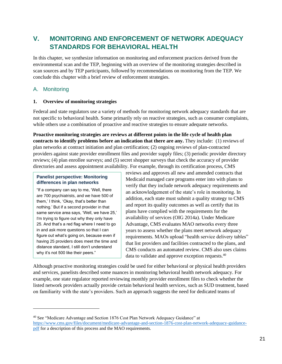## **V. MONITORING AND ENFORCEMENT OF NETWORK ADEQUACY STANDARDS FOR BEHAVIORAL HEALTH**

In this chapter, we synthesize information on monitoring and enforcement practices derived from the environmental scan and the TEP, beginning with an overview of the monitoring strategies described in scan sources and by TEP participants, followed by recommendations on monitoring from the TEP. We conclude this chapter with a brief review of enforcement strategies.

## A. Monitoring

### **1. Overview of monitoring strategies**

Federal and state regulators use a variety of methods for monitoring network adequacy standards that are not specific to behavioral health. Some primarily rely on reactive strategies, such as consumer complaints, while others use a combination of proactive and reactive strategies to ensure adequate networks.

**Proactive monitoring strategies are reviews at different points in the life cycle of health plan contracts to identify problems before an indication that there are any.** They include: (1) reviews of plan networks at contract initiation and plan certification; (2) ongoing reviews of plan-contracted providers against state provider enrollment files and provider supply files; (3) periodic provider directory reviews; (4) plan enrollee surveys; and (5) secret shopper surveys that check the accuracy of provider directories and assess appointment availability. For example, through its certification process, CMS

#### **Panelist perspective: Monitoring differences in plan networks**

"If a company can say to me, 'Well, there are 700 psychiatrists, and we have 500 of them,' I think, 'Okay, that's better than nothing.' But if a second provider in that same service area says, 'Well, we have 25,' I'm trying to figure out why they only have 25. And that's a red flag where I need to go in and ask more questions so that I can figure out what's going on, because even if having 25 providers does meet the time and distance standard, I still don't understand why it's not 500 like their peers."

reviews and approves all new and amended contracts that Medicaid managed care programs enter into with plans to verify that they include network adequacy requirements and an acknowledgement of the state's role in monitoring. In addition, each state must submit a quality strategy to CMS and report its quality outcomes as well as certify that its plans have complied with the requirements for the availability of services (OIG 2014a). Under Medicare Advantage, CMS evaluates MAO networks every three years to assess whether the plans meet network adequacy requirements. MAOs upload "health service delivery tables" that list providers and facilities contracted to the plans, and CMS conducts an automated review. CMS also uses claims data to validate and approve exception requests.<sup>40</sup>

Although proactive monitoring strategies could be used for either behavioral or physical health providers and services, panelists described some nuances in monitoring behavioral health network adequacy. For example, one state regulator reported reviewing monthly provider enrollment files to check whether the listed network providers actually provide certain behavioral health services, such as SUD treatment, based on familiarity with the state's providers. Such an approach suggests the need for dedicated teams of

<sup>40</sup> See "Medicare Advantage and Section 1876 Cost Plan Network Adequacy Guidance" at [https://www.cms.gov/files/document/medicare-advantage-and-section-1876-cost-plan-network-adequacy-guidance](https://www.cms.gov/files/document/medicare-advantage-and-section-1876-cost-plan-network-adequacy-guidance-pdf)[pdf](https://www.cms.gov/files/document/medicare-advantage-and-section-1876-cost-plan-network-adequacy-guidance-pdf) for a description of this process and the MAO requirements.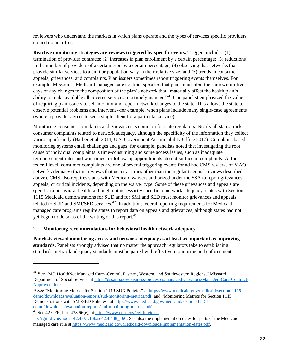reviewers who understand the markets in which plans operate and the types of services specific providers do and do not offer.

**Reactive monitoring strategies are reviews triggered by specific events.** Triggers include: (1) termination of provider contracts; (2) increases in plan enrollment by a certain percentage; (3) reductions in the number of providers of a certain type by a certain percentage; (4) observing that networks that provide similar services to a similar population vary in their relative size; and (5) trends in consumer appeals, grievances, and complaints. Plan issuers sometimes report triggering events themselves. For example, Missouri's Medicaid managed care contract specifies that plans must alert the state within five days of any changes to the composition of the plan's network that "materially affect the health plan's ability to make available all covered services in a timely manner."<sup>41</sup> One panelist emphasized the value of requiring plan issuers to self-monitor and report network changes to the state. This allows the state to observe potential problems and intervene--for example, when plans include many single-case agreements (where a provider agrees to see a single client for a particular service).

Monitoring consumer complaints and grievances is common for state regulators. Nearly all states track consumer complaints related to network adequacy, although the specificity of the information they collect varies significantly (Barber et al. 2014; U.S. Government Accountability Office 2017). Complaint-based monitoring systems entail challenges and gaps; for example, panelists noted that investigating the root cause of individual complaints is time-consuming and some access issues, such as inadequate reimbursement rates and wait times for follow-up appointments, do not surface in complaints. At the federal level, consumer complaints are one of several triggering events for ad hoc CMS reviews of MAO network adequacy (that is, reviews that occur at times other than the regular triennial reviews described above). CMS also requires states with Medicaid waivers authorized under the SSA to report grievances, appeals, or critical incidents, depending on the waiver type. Some of these grievances and appeals are specific to behavioral health, although not necessarily specific to network adequacy: states with Section 1115 Medicaid demonstrations for SUD and for SMI and SED must monitor grievances and appeals related to SUD and SMI/SED services.<sup>42</sup> In addition, federal reporting requirements for Medicaid managed care programs require states to report data on appeals and grievances, although states had not yet begun to do so as of the writing of this report. 43

## **2. Monitoring recommendations for behavioral health network adequacy**

**Panelists viewed monitoring access and network adequacy as at least as important as improving standards.** Panelists strongly advised that no matter the approach regulators take to establishing standards, network adequacy standards must be paired with effective monitoring and enforcement

<sup>41</sup> See "MO HealthNet Managed Care--Central, Eastern, Western, and Southwestern Regions," Missouri Department of Social Service, a[t https://dss.mo.gov/business-processes/managed-care/docs/Managed-Care-Contract-](https://dss.mo.gov/business-processes/managed-care/docs/Managed-Care-Contract-Approved.docx)[Approved.docx.](https://dss.mo.gov/business-processes/managed-care/docs/Managed-Care-Contract-Approved.docx)

<sup>&</sup>lt;sup>42</sup> See "Monitoring Metrics for Section 1115 SUD Policies" a[t https://www.medicaid.gov/medicaid/section-1115](https://www.medicaid.gov/medicaid/section-1115-demo/downloads/evaluation-reports/sud-monitoring-metrics.pdf) [demo/downloads/evaluation-reports/sud-monitoring-metrics.pdf](https://www.medicaid.gov/medicaid/section-1115-demo/downloads/evaluation-reports/sud-monitoring-metrics.pdf) and "Monitoring Metrics for Section 1115 Demonstrations with SMI/SED Policies" at [https://www.medicaid.gov/medicaid/section-1115](https://www.medicaid.gov/medicaid/section-1115-demo/downloads/evaluation-reports/smi-monitoring-metrics.pdf) [demo/downloads/evaluation-reports/smi-monitoring-metrics.pdf.](https://www.medicaid.gov/medicaid/section-1115-demo/downloads/evaluation-reports/smi-monitoring-metrics.pdf)

<sup>43</sup> See 42 CFR, Part 438.66(e), at [https://www.ecfr.gov/cgi-bin/text-](https://www.ecfr.gov/cgi-bin/text-idx?rgn=div5&node=42:4.0.1.1.8#se42.4.438_166)

[idx?rgn=div5&node=42:4.0.1.1.8#se42.4.438\\_166.](https://www.ecfr.gov/cgi-bin/text-idx?rgn=div5&node=42:4.0.1.1.8#se42.4.438_166) See also the implementation dates for parts of the Medicaid managed care rule a[t https://www.medicaid.gov/Medicaid/downloads/implementation-dates.pdf.](https://www.medicaid.gov/Medicaid/downloads/implementation-dates.pdf)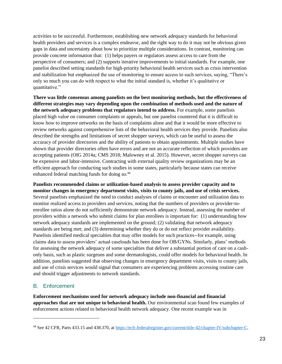activities to be successful. Furthermore, establishing new network adequacy standards for behavioral health providers and services is a complex endeavor, and the right way to do it may not be obvious given gaps in data and uncertainty about how to prioritize multiple considerations. In contrast, monitoring can provide concrete information that: (1) helps payers or regulators assess access to care from the perspective of consumers; and (2) supports iterative improvements to initial standards. For example, one panelist described setting standards for high-priority behavioral health services such as crisis intervention and stabilization but emphasized the use of monitoring to ensure access to such services, saying, "There's only so much you can do with respect to what the initial standard is, whether it's qualitative or quantitative."

**There was little consensus among panelists on the best monitoring methods, but the effectiveness of different strategies may vary depending upon the combination of methods used and the nature of the network adequacy problems that regulators intend to address.** For example, some panelists placed high value on consumer complaints or appeals, but one panelist countered that it is difficult to know how to improve networks on the basis of complaints alone and that it would be more effective to review networks against comprehensive lists of the behavioral health services they provide. Panelists also described the strengths and limitations of secret shopper surveys, which can be useful to assess the accuracy of provider directories and the ability of patients to obtain appointments. Multiple studies have shown that provider directories often have errors and are not an accurate reflection of which providers are accepting patients (OIG 2014a; CMS 2018; Malowney et al. 2015). However, secret shopper surveys can be expensive and labor-intensive. Contracting with external quality review organizations may be an efficient approach for conducting such studies in some states, particularly because states can receive enhanced federal matching funds for doing so.<sup>44</sup>

**Panelists recommended claims or utilization-based analysis to assess provider capacity and to monitor changes in emergency department visits, visits to county jails, and use of crisis services.** Several panelists emphasized the need to conduct analyses of claims or encounter and utilization data to monitor realized access to providers and services, noting that the numbers of providers or provider-toenrollee ratios alone do not sufficiently demonstrate network adequacy. Instead, assessing the number of providers within a network who submit claims for plan enrollees is important for: (1) understanding how network adequacy standards are implemented on the ground; (2) validating that network adequacy standards are being met; and (3) determining whether they do or do not reflect provider availability. Panelists identified medical specialties that may offer models for such practices--for example, using claims data to assess providers' actual caseloads has been done for OB/GYNs. Similarly, plans' methods for assessing the network adequacy of some specialties that deliver a substantial portion of care on a cashonly basis, such as plastic surgeons and some dermatologists, could offer models for behavioral health. In addition, panelists suggested that observing changes in emergency department visits, visits to county jails, and use of crisis services would signal that consumers are experiencing problems accessing routine care and should trigger adjustments to network standards.

## B. Enforcement

**Enforcement mechanisms used for network adequacy include non-financial and financial approaches that are not unique to behavioral health.** Our environmental scan found few examples of enforcement actions related to behavioral health network adequacy. One recent example was in

<sup>44</sup> See 42 CFR, Parts 433.15 and 438.370, at [https://ecfr.federalregister.gov/current/title-42/chapter-IV/subchapter-C.](https://ecfr.federalregister.gov/current/title-42/chapter-IV/subchapter-C)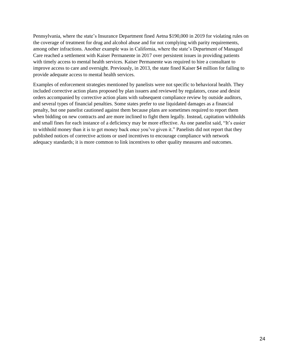Pennsylvania, where the state's Insurance Department fined Aetna \$190,000 in 2019 for violating rules on the coverage of treatment for drug and alcohol abuse and for not complying with parity requirements, among other infractions. Another example was in California, where the state's Department of Managed Care reached a settlement with Kaiser Permanente in 2017 over persistent issues in providing patients with timely access to mental health services. Kaiser Permanente was required to hire a consultant to improve access to care and oversight. Previously, in 2013, the state fined Kaiser \$4 million for failing to provide adequate access to mental health services.

Examples of enforcement strategies mentioned by panelists were not specific to behavioral health. They included corrective action plans proposed by plan issuers and reviewed by regulators, cease and desist orders accompanied by corrective action plans with subsequent compliance review by outside auditors, and several types of financial penalties. Some states prefer to use liquidated damages as a financial penalty, but one panelist cautioned against them because plans are sometimes required to report them when bidding on new contracts and are more inclined to fight them legally. Instead, capitation withholds and small fines for each instance of a deficiency may be more effective. As one panelist said, "It's easier to withhold money than it is to get money back once you've given it." Panelists did not report that they published notices of corrective actions or used incentives to encourage compliance with network adequacy standards; it is more common to link incentives to other quality measures and outcomes.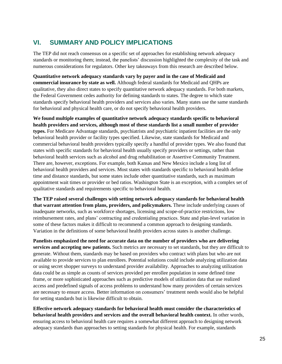## **VI. SUMMARY AND POLICY IMPLICATIONS**

The TEP did not reach consensus on a specific set of approaches for establishing network adequacy standards or monitoring them; instead, the panelists' discussion highlighted the complexity of the task and numerous considerations for regulators. Other key takeaways from this research are described below.

**Quantitative network adequacy standards vary by payer and in the case of Medicaid and commercial insurance by state as well.** Although federal standards for Medicaid and QHPs are qualitative, they also direct states to specify quantitative network adequacy standards. For both markets, the Federal Government cedes authority for defining standards to states. The degree to which state standards specify behavioral health providers and services also varies. Many states use the same standards for behavioral and physical health care, or do not specify behavioral health providers.

**We found multiple examples of quantitative network adequacy standards specific to behavioral health providers and services, although most of these standards list a small number of provider types.** For Medicare Advantage standards, psychiatrists and psychiatric inpatient facilities are the only behavioral health provider or facility types specified. Likewise, state standards for Medicaid and commercial behavioral health providers typically specify a handful of provider types. We also found that states with specific standards for behavioral health usually specify providers or settings, rather than behavioral health services such as alcohol and drug rehabilitation or Assertive Community Treatment. There are, however, exceptions. For example, both Kansas and New Mexico include a long list of behavioral health providers and services. Most states with standards specific to behavioral health define time and distance standards, but some states include other quantitative standards, such as maximum appointment wait times or provider or bed ratios. Washington State is an exception, with a complex set of qualitative standards and requirements specific to behavioral health.

**The TEP raised several challenges with setting network adequacy standards for behavioral health that warrant attention from plans, providers, and policymakers.** These include underlying causes of inadequate networks, such as workforce shortages, licensing and scope-of-practice restrictions, low reimbursement rates, and plans' contracting and credentialing practices. State and plan-level variation in some of these factors makes it difficult to recommend a common approach to designing standards. Variation in the definitions of some behavioral health providers across states is another challenge.

**Panelists emphasized the need for accurate data on the number of providers who are delivering services and accepting new patients.** Such metrics are necessary to set standards, but they are difficult to generate. Without them, standards may be based on providers who contract with plans but who are not available to provide services to plan enrollees. Potential solutions could include analyzing utilization data or using secret shopper surveys to understand provider availability. Approaches to analyzing utilization data could be as simple as counts of services provided per enrollee population in some defined time frame, or more sophisticated approaches such as predictive models of utilization data that use realized access and predefined signals of access problems to understand how many providers of certain services are necessary to ensure access. Better information on consumers' treatment needs would also be helpful for setting standards but is likewise difficult to obtain.

**Effective network adequacy standards for behavioral health must consider the characteristics of behavioral health providers and services and the overall behavioral health context.** In other words, ensuring access to behavioral health care requires a somewhat different approach to designing network adequacy standards than approaches to setting standards for physical health. For example, standards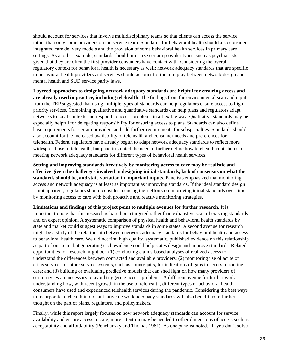should account for services that involve multidisciplinary teams so that clients can access the service rather than only some providers on the service team. Standards for behavioral health should also consider integrated care delivery models and the provision of some behavioral health services in primary care settings. As another example, standards should prioritize certain provider types, such as psychiatrists, given that they are often the first provider consumers have contact with. Considering the overall regulatory context for behavioral health is necessary as well; network adequacy standards that are specific to behavioral health providers and services should account for the interplay between network design and mental health and SUD service parity laws.

**Layered approaches to designing network adequacy standards are helpful for ensuring access and are already used in practice, including telehealth.** The findings from the environmental scan and input from the TEP suggested that using multiple types of standards can help regulators ensure access to highpriority services. Combining qualitative and quantitative standards can help plans and regulators adapt networks to local contexts and respond to access problems in a flexible way. Qualitative standards may be especially helpful for delegating responsibility for ensuring access to plans. Standards can also define base requirements for certain providers and add further requirements for subspecialties. Standards should also account for the increased availability of telehealth and consumer needs and preferences for telehealth. Federal regulators have already begun to adapt network adequacy standards to reflect more widespread use of telehealth, but panelists noted the need to further define how telehealth contributes to meeting network adequacy standards for different types of behavioral health services.

**Setting and improving standards iteratively by monitoring access to care may be realistic and effective given the challenges involved in designing initial standards, lack of consensus on what the standards should be, and state variation in important inputs.** Panelists emphasized that monitoring access and network adequacy is at least as important as improving standards. If the ideal standard design is not apparent, regulators should consider focusing their efforts on improving initial standards over time by monitoring access to care with both proactive and reactive monitoring strategies.

**Limitations and findings of this project point to multiple avenues for further research.** It is important to note that this research is based on a targeted rather than exhaustive scan of existing standards and on expert opinion. A systematic comparison of physical health and behavioral health standards by state and market could suggest ways to improve standards in some states. A second avenue for research might be a study of the relationship between network adequacy standards for behavioral health and access to behavioral health care. We did not find high quality, systematic, published evidence on this relationship as part of our scan, but generating such evidence could help states design and improve standards. Related opportunities for research might be: (1) conducting claims-based analyses of realized access to understand the differences between contracted and available providers; (2) monitoring use of acute or crisis services, or other service systems, such as county jails, for indications of gaps in access to routine care; and (3) building or evaluating predictive models that can shed light on how many providers of certain types are necessary to avoid triggering access problems. A different avenue for further work is understanding how, with recent growth in the use of telehealth, different types of behavioral health consumers have used and experienced telehealth services during the pandemic. Considering the best ways to incorporate telehealth into quantitative network adequacy standards will also benefit from further thought on the part of plans, regulators, and policymakers.

Finally, while this report largely focuses on how network adequacy standards can account for service availability and ensure access to care, more attention may be needed to other dimensions of access such as acceptability and affordability (Penchansky and Thomas 1981). As one panelist noted, "If you don't solve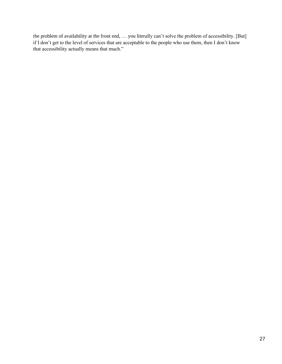the problem of availability at the front end, … you literally can't solve the problem of accessibility. [But] if I don't get to the level of services that are acceptable to the people who use them, then I don't know that accessibility actually means that much."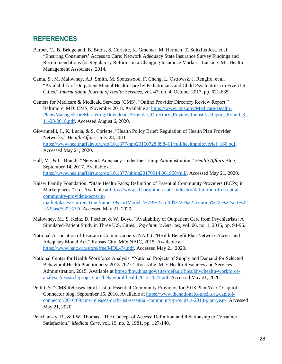## **REFERENCES**

- Barber, C., B. Bridgeland, B. Burns, S. Corlette, K. Gmeiner, M. Herman, T. Soltzfus Jost, et al. "Ensuring Consumers' Access to Care: Network Adequacy State Insurance Survey Findings and Recommendations for Regulatory Reforms in a Changing Insurance Market." Lansing, MI: Health Management Associates, 2014.
- Cama, S., M. Malowney, A.J. Smith, M. Spottswood, F. Cheng, L. Ostrowsk, J. Rengifo, et al. "Availability of Outpatient Mental Health Care by Pediatricians and Child Psychiatrists in Five U.S. Cities." *International Journal of Health Services,* vol. 47, no. 4, October 2017, pp. 621-635.
- Centers for Medicare & Medicaid Services (CMS). "Online Provider Directory Review Report." Baltimore, MD: CMS, November 2018. Available at [https://www.cms.gov/Medicare/Health-](https://www.cms.gov/Medicare/Health-Plans/ManagedCareMarketing/Downloads/Provider_Directory_Review_Industry_Report_Round_3_11-28-2018.pdf)[Plans/ManagedCareMarketing/Downloads/Provider\\_Directory\\_Review\\_Industry\\_Report\\_Round\\_3\\_](https://www.cms.gov/Medicare/Health-Plans/ManagedCareMarketing/Downloads/Provider_Directory_Review_Industry_Report_Round_3_11-28-2018.pdf) [11-28-2018.pdf.](https://www.cms.gov/Medicare/Health-Plans/ManagedCareMarketing/Downloads/Provider_Directory_Review_Industry_Report_Round_3_11-28-2018.pdf) Accessed August 6, 2020.
- Giovannelli, J., K. Lucia, & S. Corlette. "Health Policy Brief: Regulation of Health Plan Provider Networks." *Health Affairs,* July 28, 2016. [https://www.healthaffairs.org/do/10.1377/hpb20160728.898461/full/healthpolicybrief\\_160.pdf.](https://www.healthaffairs.org/do/10.1377/hpb20160728.898461/full/healthpolicybrief_160.pdf) Accessed May 21, 2020.
- Hall, M., & C. Brandt. "Network Adequacy Under the Trump Administration." *Health Affairs* Blog, September 14, 2017. Available at [https://www.healthaffairs.org/do/10.1377/hblog20170914.061958/full/.](https://www.healthaffairs.org/do/10.1377/hblog20170914.061958/full/) Accessed May 21, 2020.
- Kaiser Family Foundation. "State Health Facts; Definition of Essential Community Providers (ECPs) in Marketplaces." n.d. Available at [https://www.kff.org/other/state-indicator/definition-of-essential](https://www.kff.org/other/state-indicator/definition-of-essential-community-providers-ecps-in-marketplaces/?currentTimeframe=0&sortModel=%7B%22colId%22:%22Location%22,%22sort%22:%22asc%22%7D)[community-providers-ecps-in](https://www.kff.org/other/state-indicator/definition-of-essential-community-providers-ecps-in-marketplaces/?currentTimeframe=0&sortModel=%7B%22colId%22:%22Location%22,%22sort%22:%22asc%22%7D)[marketplaces/?currentTimeframe=0&sortModel=%7B%22colId%22:%22Location%22,%22sort%22](https://www.kff.org/other/state-indicator/definition-of-essential-community-providers-ecps-in-marketplaces/?currentTimeframe=0&sortModel=%7B%22colId%22:%22Location%22,%22sort%22:%22asc%22%7D) [:%22asc%22%7D.](https://www.kff.org/other/state-indicator/definition-of-essential-community-providers-ecps-in-marketplaces/?currentTimeframe=0&sortModel=%7B%22colId%22:%22Location%22,%22sort%22:%22asc%22%7D) Accessed May 21, 2020.
- Malowney, M., S. Keltz, D. Fischer, & W. Boyd. "Availability of Outpatient Care from Psychiatrists: A Simulated-Patient Study in Three U.S. Cities." *Psychiatric Services,* vol. 66, no. 1, 2015, pp. 94-96.
- National Association of Insurance Commissioners (NAIC). "Health Benefit Plan Network Access and Adequacy Model Act." Kansas City, MO: NAIC, 2015. Available at [https://www.naic.org/store/free/MDL-74.pdf.](https://www.naic.org/store/free/MDL-74.pdf) Accessed May 21, 2020.
- National Center for Health Workforce Analysis. "National Projects of Supply and Demand for Selected Behavioral Health Practitioners: 2013-2025." Rockville, MD: Health Resources and Services Administration, 2015. Available at [https://bhw.hrsa.gov/sites/default/files/bhw/health-workforce](https://bhw.hrsa.gov/sites/default/files/bhw/health-workforce-analysis/research/projections/behavioral-health2013-2025.pdf)[analysis/research/projections/behavioral-health2013-2025.pdf.](https://bhw.hrsa.gov/sites/default/files/bhw/health-workforce-analysis/research/projections/behavioral-health2013-2025.pdf) Accessed May 21, 2020.
- Pellitt, S. "CMS Releases Draft List of Essential Community Providers for 2018 Plan Year." Capitol Connector blog, September 15, 2016. Available at [https://www.thenationalcouncil.org/capitol](https://www.thenationalcouncil.org/capitol-connector/2016/09/cms-releases-draft-list-essential-community-providers-2018-plan-year/)[connector/2016/09/cms-releases-draft-list-essential-community-providers-2018-plan-year/.](https://www.thenationalcouncil.org/capitol-connector/2016/09/cms-releases-draft-list-essential-community-providers-2018-plan-year/) Accessed May 21, 2020.
- Penchansky, R., & J.W. Thomas. "The Concept of Access: Definition and Relationship to Consumer Satisfaction." *Medical Care,* vol. 19, no. 2, 1981, pp. 127-140.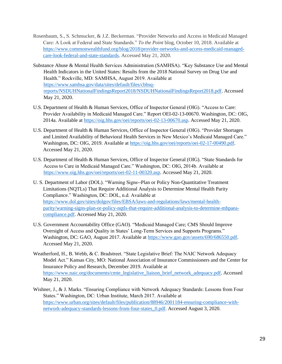- Rosenbaum, S., S. Schmucker, & J.Z. Beckerman. "Provider Networks and Access in Medicaid Managed Care: A Look at Federal and State Standards." *To the Point* blog, October 10, 2018. Available at [https://www.commonwealthfund.org/blog/2018/provider-networks-and-access-medicaid-managed](https://www.commonwealthfund.org/blog/2018/provider-networks-and-access-medicaid-managed-care-look-federal-and-state-standards)[care-look-federal-and-state-standards.](https://www.commonwealthfund.org/blog/2018/provider-networks-and-access-medicaid-managed-care-look-federal-and-state-standards) Accessed May 21, 2020.
- Substance Abuse & Mental Health Services Administration (SAMHSA). "Key Substance Use and Mental Health Indicators in the United States: Results from the 2018 National Survey on Drug Use and Health." Rockville, MD: SAMHSA, August 2019. Available at [https://www.samhsa.gov/data/sites/default/files/cbhsq](https://www.samhsa.gov/data/sites/default/files/cbhsq-reports/NSDUHNationalFindingsReport2018/NSDUHNationalFindingsReport2018.pdf)[reports/NSDUHNationalFindingsReport2018/NSDUHNationalFindingsReport2018.pdf.](https://www.samhsa.gov/data/sites/default/files/cbhsq-reports/NSDUHNationalFindingsReport2018/NSDUHNationalFindingsReport2018.pdf) Accessed May 21, 2020.
- U.S. Department of Health & Human Services, Office of Inspector General (OIG). "Access to Care: Provider Availability in Medicaid Managed Care." Report OEI-02-13-00670. Washington, DC: OIG, 2014a. Available at [https://oig.hhs.gov/oei/reports/oei-02-13-00670.asp.](https://oig.hhs.gov/oei/reports/oei-02-13-00670.asp) Accessed May 21, 2020.
- U.S. Department of Health & Human Services, Office of Inspector General (OIG). "Provider Shortages and Limited Availability of Behavioral Health Services in New Mexico's Medicaid Managed Care." Washington, DC: OIG, 2019. Available at [https://oig.hhs.gov/oei/reports/oei-02-17-00490.pdf.](https://oig.hhs.gov/oei/reports/oei-02-17-00490.pdf) Accessed May 21, 2020.
- U.S. Department of Health & Human Services, Office of Inspector General (OIG). "State Standards for Access to Care in Medicaid Managed Care." Washington, DC: OIG, 2014b. Available at [https://www.oig.hhs.gov/oei/reports/oei-02-11-00320.asp.](https://www.oig.hhs.gov/oei/reports/oei-02-11-00320.asp) Accessed May 21, 2020.
- U. S. Department of Labor (DOL). "Warning Signs--Plan or Policy Non-Quantitative Treatment Limitations (NQTLs) That Require Additional Analysis to Determine Mental Health Parity Compliance." Washington, DC: DOL, n.d. Available at [https://www.dol.gov/sites/dolgov/files/EBSA/laws-and-regulations/laws/mental-health](https://www.dol.gov/sites/dolgov/files/EBSA/laws-and-regulations/laws/mental-health-parity/warning-signs-plan-or-policy-nqtls-that-require-additional-analysis-to-determine-mhpaea-compliance.pdf)[parity/warning-signs-plan-or-policy-nqtls-that-require-additional-analysis-to-determine-mhpaea](https://www.dol.gov/sites/dolgov/files/EBSA/laws-and-regulations/laws/mental-health-parity/warning-signs-plan-or-policy-nqtls-that-require-additional-analysis-to-determine-mhpaea-compliance.pdf)[compliance.pdf.](https://www.dol.gov/sites/dolgov/files/EBSA/laws-and-regulations/laws/mental-health-parity/warning-signs-plan-or-policy-nqtls-that-require-additional-analysis-to-determine-mhpaea-compliance.pdf) Accessed May 21, 2020.
- U.S. Government Accountability Office (GAO). "Medicaid Managed Care; CMS Should Improve Oversight of Access and Quality in States' Long-Term Services and Supports Programs." Washington, DC: GAO, August 2017. Available at [https://www.gao.gov/assets/690/686550.pdf.](https://www.gao.gov/assets/690/686550.pdf) Accessed May 21, 2020.
- Weatherford, H., B. Webb, & C. Bradstreet. "State Legislative Brief: The NAIC Network Adequacy Model Act." Kansas City, MO: National Association of Insurance Commissioners and the Center for Insurance Policy and Research, December 2019. Available at [https://www.naic.org/documents/cmte\\_legislative\\_liaison\\_brief\\_network\\_adequacy.pdf.](https://www.naic.org/documents/cmte_legislative_liaison_brief_network_adequacy.pdf) Accessed May 21, 2020.
- Wishner, J., & J. Marks. "Ensuring Compliance with Network Adequacy Standards: Lessons from Four States." Washington, DC: Urban Institute, March 2017. Available at [https://www.urban.org/sites/default/files/publication/88946/2001184-ensuring-compliance-with](https://www.urban.org/sites/default/files/publication/88946/2001184-ensuring-compliance-with-network-adequacy-standards-lessons-from-four-states_0.pdf)[network-adequacy-standards-lessons-from-four-states\\_0.pdf.](https://www.urban.org/sites/default/files/publication/88946/2001184-ensuring-compliance-with-network-adequacy-standards-lessons-from-four-states_0.pdf) Accessed August 3, 2020.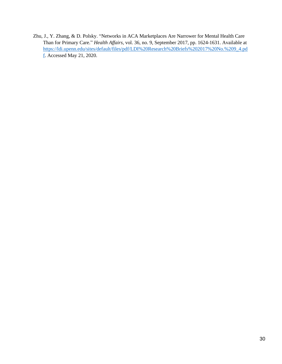Zhu, J., Y. Zhang, & D. Polsky. "Networks in ACA Marketplaces Are Narrower for Mental Health Care Than for Primary Care." *Health Affairs,* vol. 36, no. 9, September 2017, pp. 1624-1631. Available at [https://ldi.upenn.edu/sites/default/files/pdf/LDI%20Research%20Briefs%202017%20No.%209\\_4.pd](https://ldi.upenn.edu/sites/default/files/pdf/LDI%20Research%20Briefs%202017%20No.%209_4.pdf) [f.](https://ldi.upenn.edu/sites/default/files/pdf/LDI%20Research%20Briefs%202017%20No.%209_4.pdf) Accessed May 21, 2020.